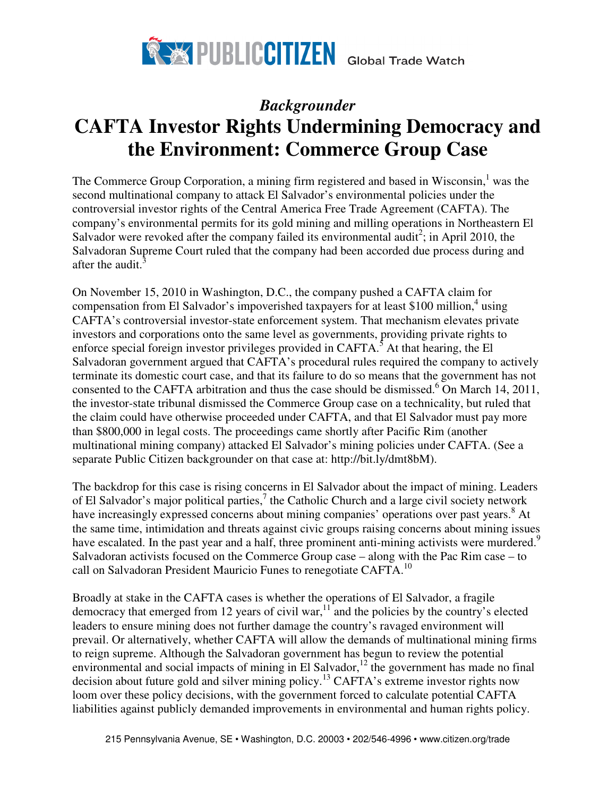

# *Backgrounder*  **CAFTA Investor Rights Undermining Democracy and the Environment: Commerce Group Case**

The Commerce Group Corporation, a mining firm registered and based in Wisconsin, $<sup>1</sup>$  was the</sup> second multinational company to attack El Salvador's environmental policies under the controversial investor rights of the Central America Free Trade Agreement (CAFTA). The company's environmental permits for its gold mining and milling operations in Northeastern El Salvador were revoked after the company failed its environmental audit<sup>2</sup>; in April 2010, the Salvadoran Supreme Court ruled that the company had been accorded due process during and after the audit. $\frac{3}{2}$ 

On November 15, 2010 in Washington, D.C., the company pushed a CAFTA claim for compensation from El Salvador's impoverished taxpayers for at least \$100 million, $4$  using CAFTA's controversial investor-state enforcement system. That mechanism elevates private investors and corporations onto the same level as governments, providing private rights to enforce special foreign investor privileges provided in CAFTA.<sup>5</sup> At that hearing, the El Salvadoran government argued that CAFTA's procedural rules required the company to actively terminate its domestic court case, and that its failure to do so means that the government has not consented to the CAFTA arbitration and thus the case should be dismissed.  $6$  On March 14, 2011, the investor-state tribunal dismissed the Commerce Group case on a technicality, but ruled that the claim could have otherwise proceeded under CAFTA, and that El Salvador must pay more than \$800,000 in legal costs. The proceedings came shortly after Pacific Rim (another multinational mining company) attacked El Salvador's mining policies under CAFTA. (See a separate Public Citizen backgrounder on that case at: http://bit.ly/dmt8bM).

The backdrop for this case is rising concerns in El Salvador about the impact of mining. Leaders of El Salvador's major political parties, $^7$  the Catholic Church and a large civil society network have increasingly expressed concerns about mining companies' operations over past years.<sup>8</sup> At the same time, intimidation and threats against civic groups raising concerns about mining issues have escalated. In the past year and a half, three prominent anti-mining activists were murdered.<sup>9</sup> Salvadoran activists focused on the Commerce Group case – along with the Pac Rim case – to call on Salvadoran President Mauricio Funes to renegotiate CAFTA.<sup>10</sup>

Broadly at stake in the CAFTA cases is whether the operations of El Salvador, a fragile democracy that emerged from 12 years of civil war, $11$  and the policies by the country's elected leaders to ensure mining does not further damage the country's ravaged environment will prevail. Or alternatively, whether CAFTA will allow the demands of multinational mining firms to reign supreme. Although the Salvadoran government has begun to review the potential environmental and social impacts of mining in El Salvador,<sup>12</sup> the government has made no final decision about future gold and silver mining policy. <sup>13</sup> CAFTA's extreme investor rights now loom over these policy decisions, with the government forced to calculate potential CAFTA liabilities against publicly demanded improvements in environmental and human rights policy.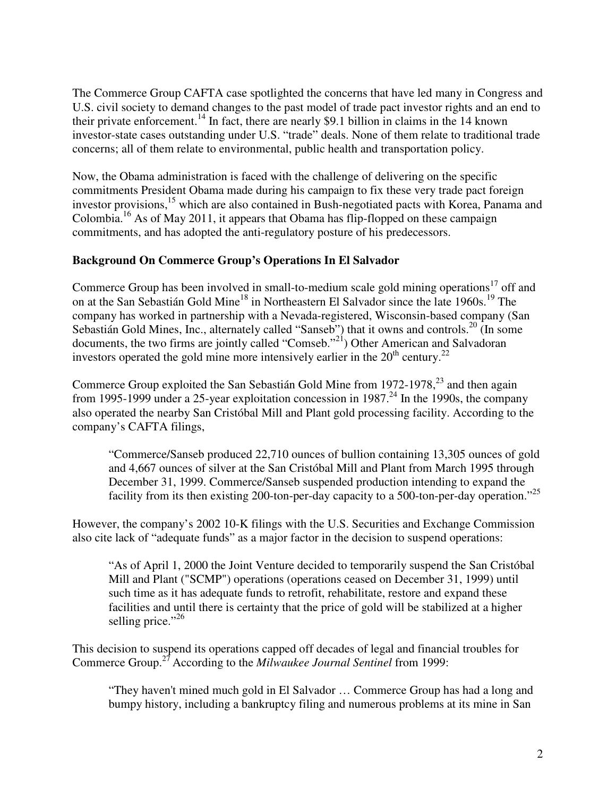The Commerce Group CAFTA case spotlighted the concerns that have led many in Congress and U.S. civil society to demand changes to the past model of trade pact investor rights and an end to their private enforcement.<sup>14</sup> In fact, there are nearly \$9.1 billion in claims in the 14 known investor-state cases outstanding under U.S. "trade" deals. None of them relate to traditional trade concerns; all of them relate to environmental, public health and transportation policy.

Now, the Obama administration is faced with the challenge of delivering on the specific commitments President Obama made during his campaign to fix these very trade pact foreign investor provisions,<sup>15</sup> which are also contained in Bush-negotiated pacts with Korea, Panama and Colombia.<sup>16</sup> As of May 2011, it appears that Obama has flip-flopped on these campaign commitments, and has adopted the anti-regulatory posture of his predecessors.

# **Background On Commerce Group's Operations In El Salvador**

Commerce Group has been involved in small-to-medium scale gold mining operations<sup>17</sup> off and on at the San Sebastián Gold Mine<sup>18</sup> in Northeastern El Salvador since the late 1960s.<sup>19</sup> The company has worked in partnership with a Nevada-registered, Wisconsin-based company (San Sebastián Gold Mines, Inc., alternately called "Sanseb") that it owns and controls.<sup>20</sup> (In some documents, the two firms are jointly called "Comseb."<sup>21</sup>) Other American and Salvadoran investors operated the gold mine more intensively earlier in the  $20<sup>th</sup>$  century.<sup>22</sup>

Commerce Group exploited the San Sebastián Gold Mine from  $1972-1978$ ,  $^{23}$  and then again from 1995-1999 under a 25-year exploitation concession in 1987.<sup>24</sup> In the 1990s, the company also operated the nearby San Cristóbal Mill and Plant gold processing facility. According to the company's CAFTA filings,

"Commerce/Sanseb produced 22,710 ounces of bullion containing 13,305 ounces of gold and 4,667 ounces of silver at the San Cristóbal Mill and Plant from March 1995 through December 31, 1999. Commerce/Sanseb suspended production intending to expand the facility from its then existing 200-ton-per-day capacity to a 500-ton-per-day operation."<sup>25</sup>

However, the company's 2002 10-K filings with the U.S. Securities and Exchange Commission also cite lack of "adequate funds" as a major factor in the decision to suspend operations:

"As of April 1, 2000 the Joint Venture decided to temporarily suspend the San Cristóbal Mill and Plant ("SCMP") operations (operations ceased on December 31, 1999) until such time as it has adequate funds to retrofit, rehabilitate, restore and expand these facilities and until there is certainty that the price of gold will be stabilized at a higher selling price."<sup>26</sup>

This decision to suspend its operations capped off decades of legal and financial troubles for Commerce Group.<sup>27</sup> According to the *Milwaukee Journal Sentinel* from 1999:

"They haven't mined much gold in El Salvador … Commerce Group has had a long and bumpy history, including a bankruptcy filing and numerous problems at its mine in San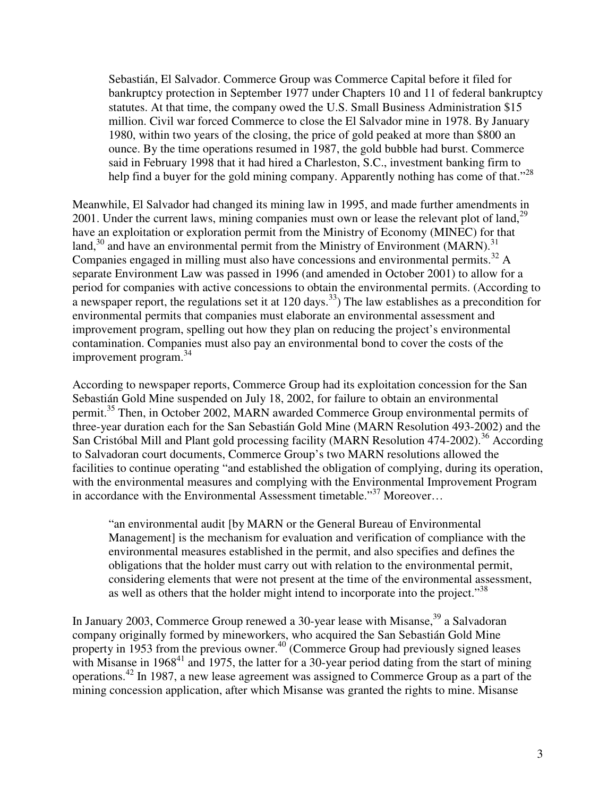Sebastián, El Salvador. Commerce Group was Commerce Capital before it filed for bankruptcy protection in September 1977 under Chapters 10 and 11 of federal bankruptcy statutes. At that time, the company owed the U.S. Small Business Administration \$15 million. Civil war forced Commerce to close the El Salvador mine in 1978. By January 1980, within two years of the closing, the price of gold peaked at more than \$800 an ounce. By the time operations resumed in 1987, the gold bubble had burst. Commerce said in February 1998 that it had hired a Charleston, S.C., investment banking firm to help find a buyer for the gold mining company. Apparently nothing has come of that."<sup>28</sup>

Meanwhile, El Salvador had changed its mining law in 1995, and made further amendments in 2001. Under the current laws, mining companies must own or lease the relevant plot of land,  $2^9$ have an exploitation or exploration permit from the Ministry of Economy (MINEC) for that land, $30$  and have an environmental permit from the Ministry of Environment (MARN).<sup>31</sup> Companies engaged in milling must also have concessions and environmental permits.<sup>32</sup> A separate Environment Law was passed in 1996 (and amended in October 2001) to allow for a period for companies with active concessions to obtain the environmental permits. (According to a newspaper report, the regulations set it at 120 days.<sup>33</sup>) The law establishes as a precondition for environmental permits that companies must elaborate an environmental assessment and improvement program, spelling out how they plan on reducing the project's environmental contamination. Companies must also pay an environmental bond to cover the costs of the improvement program.<sup>34</sup>

According to newspaper reports, Commerce Group had its exploitation concession for the San Sebastián Gold Mine suspended on July 18, 2002, for failure to obtain an environmental permit.<sup>35</sup> Then, in October 2002, MARN awarded Commerce Group environmental permits of three-year duration each for the San Sebastián Gold Mine (MARN Resolution 493-2002) and the San Cristóbal Mill and Plant gold processing facility (MARN Resolution 474-2002).<sup>36</sup> According to Salvadoran court documents, Commerce Group's two MARN resolutions allowed the facilities to continue operating "and established the obligation of complying, during its operation, with the environmental measures and complying with the Environmental Improvement Program in accordance with the Environmental Assessment timetable."<sup>37</sup> Moreover...

"an environmental audit [by MARN or the General Bureau of Environmental Management] is the mechanism for evaluation and verification of compliance with the environmental measures established in the permit, and also specifies and defines the obligations that the holder must carry out with relation to the environmental permit, considering elements that were not present at the time of the environmental assessment, as well as others that the holder might intend to incorporate into the project."<sup>38</sup>

In January 2003, Commerce Group renewed a 30-year lease with Misanse,<sup>39</sup> a Salvadoran company originally formed by mineworkers, who acquired the San Sebastián Gold Mine property in 1953 from the previous owner.<sup>40</sup> (Commerce Group had previously signed leases with Misanse in 1968<sup>41</sup> and 1975, the latter for a 30-year period dating from the start of mining operations.<sup>42</sup> In 1987, a new lease agreement was assigned to Commerce Group as a part of the mining concession application, after which Misanse was granted the rights to mine. Misanse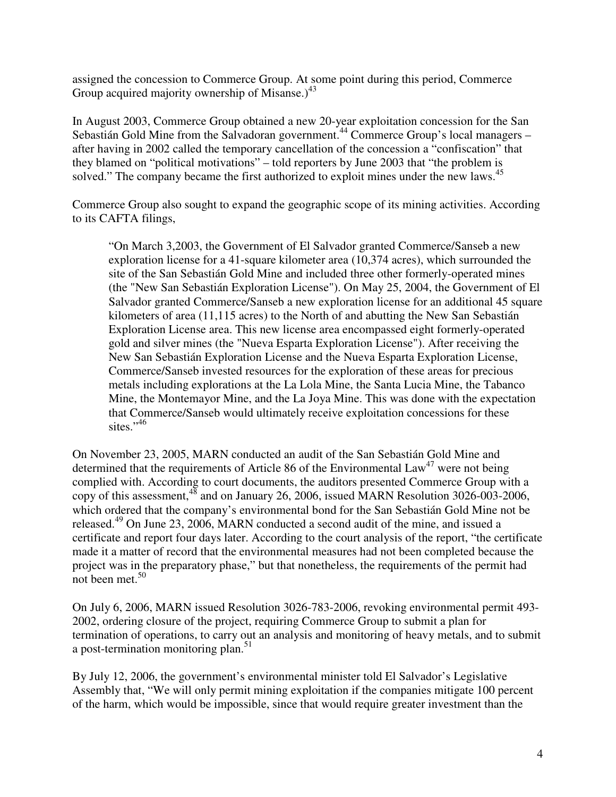assigned the concession to Commerce Group. At some point during this period, Commerce Group acquired majority ownership of Misanse.)<sup>43</sup>

In August 2003, Commerce Group obtained a new 20-year exploitation concession for the San Sebastián Gold Mine from the Salvadoran government.<sup>44</sup> Commerce Group's local managers – after having in 2002 called the temporary cancellation of the concession a "confiscation" that they blamed on "political motivations" – told reporters by June 2003 that "the problem is solved." The company became the first authorized to exploit mines under the new laws.<sup>45</sup>

Commerce Group also sought to expand the geographic scope of its mining activities. According to its CAFTA filings,

"On March 3,2003, the Government of El Salvador granted Commerce/Sanseb a new exploration license for a 41-square kilometer area (10,374 acres), which surrounded the site of the San Sebastián Gold Mine and included three other formerly-operated mines (the "New San Sebastián Exploration License"). On May 25, 2004, the Government of El Salvador granted Commerce/Sanseb a new exploration license for an additional 45 square kilometers of area (11,115 acres) to the North of and abutting the New San Sebastián Exploration License area. This new license area encompassed eight formerly-operated gold and silver mines (the "Nueva Esparta Exploration License"). After receiving the New San Sebastián Exploration License and the Nueva Esparta Exploration License, Commerce/Sanseb invested resources for the exploration of these areas for precious metals including explorations at the La Lola Mine, the Santa Lucia Mine, the Tabanco Mine, the Montemayor Mine, and the La Joya Mine. This was done with the expectation that Commerce/Sanseb would ultimately receive exploitation concessions for these sites." $46$ 

On November 23, 2005, MARN conducted an audit of the San Sebastián Gold Mine and determined that the requirements of Article 86 of the Environmental  $Law<sup>47</sup>$  were not being complied with. According to court documents, the auditors presented Commerce Group with a copy of this assessment, $48$  and on January 26, 2006, issued MARN Resolution 3026-003-2006, which ordered that the company's environmental bond for the San Sebastián Gold Mine not be released.<sup>49</sup> On June 23, 2006, MARN conducted a second audit of the mine, and issued a certificate and report four days later. According to the court analysis of the report, "the certificate made it a matter of record that the environmental measures had not been completed because the project was in the preparatory phase," but that nonetheless, the requirements of the permit had not been met.  $50$ 

On July 6, 2006, MARN issued Resolution 3026-783-2006, revoking environmental permit 493- 2002, ordering closure of the project, requiring Commerce Group to submit a plan for termination of operations, to carry out an analysis and monitoring of heavy metals, and to submit a post-termination monitoring plan.<sup>51</sup>

By July 12, 2006, the government's environmental minister told El Salvador's Legislative Assembly that, "We will only permit mining exploitation if the companies mitigate 100 percent of the harm, which would be impossible, since that would require greater investment than the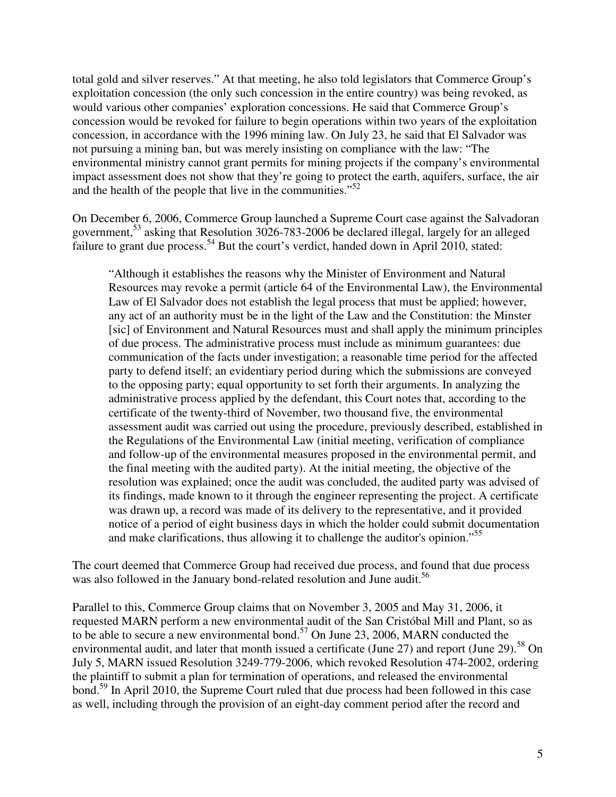total gold and silver reserves." At that meeting, he also told legislators that Commerce Group's exploitation concession (the only such concession in the entire country) was being revoked, as would various other companies' exploration concessions. He said that Commerce Group's concession would be revoked for failure to begin operations within two years of the exploitation concession, in accordance with the 1996 mining law. On July 23, he said that El Salvador was not pursuing a mining ban, but was merely insisting on compliance with the law: "The environmental ministry cannot grant permits for mining projects if the company's environmental impact assessment does not show that they're going to protect the earth, aquifers, surface, the air and the health of the people that live in the communities."<sup>52</sup>

On December 6, 2006, Commerce Group launched a Supreme Court case against the Salvadoran government,<sup>53</sup> asking that Resolution 3026-783-2006 be declared illegal, largely for an alleged failure to grant due process.<sup>54</sup> But the court's verdict, handed down in April 2010, stated:

"Although it establishes the reasons why the Minister of Environment and Natural Resources may revoke a permit (article 64 of the Environmental Law), the Environmental Law of El Salvador does not establish the legal process that must be applied; however, any act of an authority must be in the light of the Law and the Constitution: the Minster [sic] of Environment and Natural Resources must and shall apply the minimum principles of due process. The administrative process must include as minimum guarantees: due communication of the facts under investigation; a reasonable time period for the affected party to defend itself; an evidentiary period during which the submissions are conveyed to the opposing party; equal opportunity to set forth their arguments. In analyzing the administrative process applied by the defendant, this Court notes that, according to the certificate of the twenty-third of November, two thousand five, the environmental assessment audit was carried out using the procedure, previously described, established in the Regulations of the Environmental Law (initial meeting, verification of compliance and follow-up of the environmental measures proposed in the environmental permit, and the final meeting with the audited party). At the initial meeting, the objective of the resolution was explained; once the audit was concluded, the audited party was advised of its findings, made known to it through the engineer representing the project. A certificate was drawn up, a record was made of its delivery to the representative, and it provided notice of a period of eight business days in which the holder could submit documentation and make clarifications, thus allowing it to challenge the auditor's opinion."<sup>55</sup>

The court deemed that Commerce Group had received due process, and found that due process was also followed in the January bond-related resolution and June audit.<sup>56</sup>

Parallel to this, Commerce Group claims that on November 3, 2005 and May 31, 2006, it requested MARN perform a new environmental audit of the San Cristóbal Mill and Plant, so as to be able to secure a new environmental bond.<sup>57</sup> On June 23, 2006, MARN conducted the environmental audit, and later that month issued a certificate (June 27) and report (June 29).<sup>58</sup> On July 5, MARN issued Resolution 3249-779-2006, which revoked Resolution 474-2002, ordering the plaintiff to submit a plan for termination of operations, and released the environmental bond.<sup>59</sup> In April 2010, the Supreme Court ruled that due process had been followed in this case as well, including through the provision of an eight-day comment period after the record and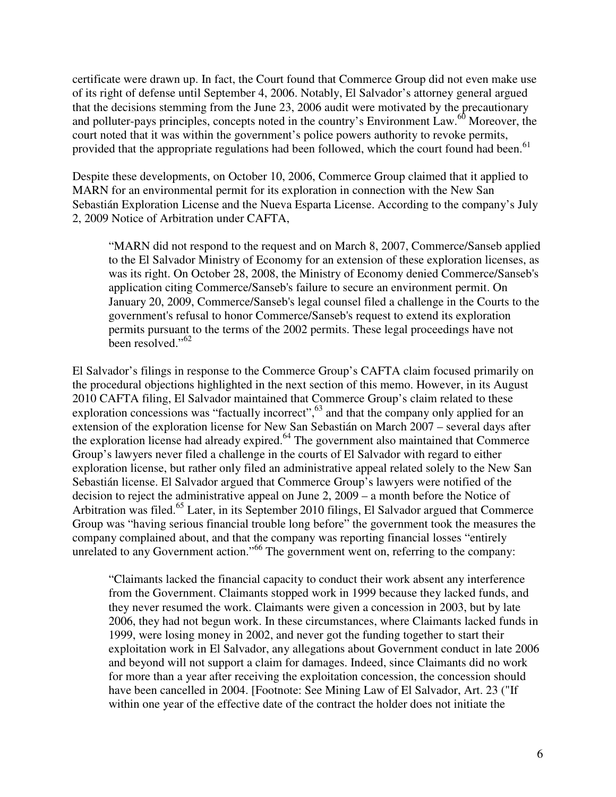certificate were drawn up. In fact, the Court found that Commerce Group did not even make use of its right of defense until September 4, 2006. Notably, El Salvador's attorney general argued that the decisions stemming from the June 23, 2006 audit were motivated by the precautionary and polluter-pays principles, concepts noted in the country's Environment Law.<sup>60</sup> Moreover, the court noted that it was within the government's police powers authority to revoke permits, provided that the appropriate regulations had been followed, which the court found had been.<sup>61</sup>

Despite these developments, on October 10, 2006, Commerce Group claimed that it applied to MARN for an environmental permit for its exploration in connection with the New San Sebastián Exploration License and the Nueva Esparta License. According to the company's July 2, 2009 Notice of Arbitration under CAFTA,

"MARN did not respond to the request and on March 8, 2007, Commerce/Sanseb applied to the El Salvador Ministry of Economy for an extension of these exploration licenses, as was its right. On October 28, 2008, the Ministry of Economy denied Commerce/Sanseb's application citing Commerce/Sanseb's failure to secure an environment permit. On January 20, 2009, Commerce/Sanseb's legal counsel filed a challenge in the Courts to the government's refusal to honor Commerce/Sanseb's request to extend its exploration permits pursuant to the terms of the 2002 permits. These legal proceedings have not been resolved."<sup>62</sup>

El Salvador's filings in response to the Commerce Group's CAFTA claim focused primarily on the procedural objections highlighted in the next section of this memo. However, in its August 2010 CAFTA filing, El Salvador maintained that Commerce Group's claim related to these exploration concessions was "factually incorrect",<sup>63</sup> and that the company only applied for an extension of the exploration license for New San Sebastián on March 2007 – several days after the exploration license had already expired. $64$  The government also maintained that Commerce Group's lawyers never filed a challenge in the courts of El Salvador with regard to either exploration license, but rather only filed an administrative appeal related solely to the New San Sebastián license. El Salvador argued that Commerce Group's lawyers were notified of the decision to reject the administrative appeal on June 2, 2009 – a month before the Notice of Arbitration was filed.<sup>65</sup> Later, in its September 2010 filings, El Salvador argued that Commerce Group was "having serious financial trouble long before" the government took the measures the company complained about, and that the company was reporting financial losses "entirely unrelated to any Government action."<sup>66</sup> The government went on, referring to the company:

"Claimants lacked the financial capacity to conduct their work absent any interference from the Government. Claimants stopped work in 1999 because they lacked funds, and they never resumed the work. Claimants were given a concession in 2003, but by late 2006, they had not begun work. In these circumstances, where Claimants lacked funds in 1999, were losing money in 2002, and never got the funding together to start their exploitation work in El Salvador, any allegations about Government conduct in late 2006 and beyond will not support a claim for damages. Indeed, since Claimants did no work for more than a year after receiving the exploitation concession, the concession should have been cancelled in 2004. [Footnote: See Mining Law of El Salvador, Art. 23 ("If within one year of the effective date of the contract the holder does not initiate the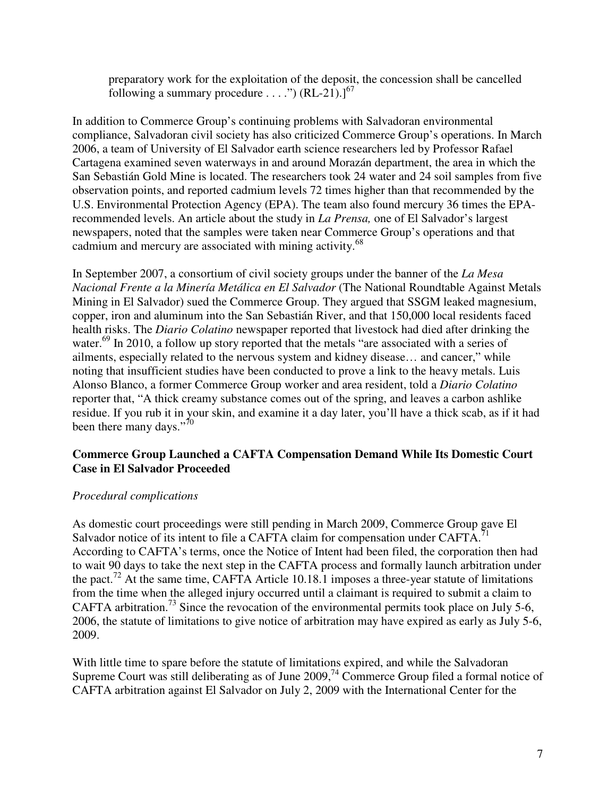preparatory work for the exploitation of the deposit, the concession shall be cancelled following a summary procedure . . . .")  $(RL-21).1<sup>67</sup>$ 

In addition to Commerce Group's continuing problems with Salvadoran environmental compliance, Salvadoran civil society has also criticized Commerce Group's operations. In March 2006, a team of University of El Salvador earth science researchers led by Professor Rafael Cartagena examined seven waterways in and around Morazán department, the area in which the San Sebastián Gold Mine is located. The researchers took 24 water and 24 soil samples from five observation points, and reported cadmium levels 72 times higher than that recommended by the U.S. Environmental Protection Agency (EPA). The team also found mercury 36 times the EPArecommended levels. An article about the study in *La Prensa,* one of El Salvador's largest newspapers, noted that the samples were taken near Commerce Group's operations and that cadmium and mercury are associated with mining activity.<sup>68</sup>

In September 2007, a consortium of civil society groups under the banner of the *La Mesa Nacional Frente a la Minería Metálica en El Salvador* (The National Roundtable Against Metals Mining in El Salvador) sued the Commerce Group. They argued that SSGM leaked magnesium, copper, iron and aluminum into the San Sebastián River, and that 150,000 local residents faced health risks. The *Diario Colatino* newspaper reported that livestock had died after drinking the water.<sup>69</sup> In 2010, a follow up story reported that the metals "are associated with a series of ailments, especially related to the nervous system and kidney disease… and cancer," while noting that insufficient studies have been conducted to prove a link to the heavy metals. Luis Alonso Blanco, a former Commerce Group worker and area resident, told a *Diario Colatino*  reporter that, "A thick creamy substance comes out of the spring, and leaves a carbon ashlike residue. If you rub it in your skin, and examine it a day later, you'll have a thick scab, as if it had been there many days."<sup>70</sup>

# **Commerce Group Launched a CAFTA Compensation Demand While Its Domestic Court Case in El Salvador Proceeded**

# *Procedural complications*

As domestic court proceedings were still pending in March 2009, Commerce Group gave El Salvador notice of its intent to file a CAFTA claim for compensation under CAFTA. According to CAFTA's terms, once the Notice of Intent had been filed, the corporation then had to wait 90 days to take the next step in the CAFTA process and formally launch arbitration under the pact.<sup>72</sup> At the same time, CAFTA Article 10.18.1 imposes a three-year statute of limitations from the time when the alleged injury occurred until a claimant is required to submit a claim to CAFTA arbitration.<sup>73</sup> Since the revocation of the environmental permits took place on July 5-6, 2006, the statute of limitations to give notice of arbitration may have expired as early as July 5-6, 2009.

With little time to spare before the statute of limitations expired, and while the Salvadoran Supreme Court was still deliberating as of June  $2009<sup>74</sup>$  Commerce Group filed a formal notice of CAFTA arbitration against El Salvador on July 2, 2009 with the International Center for the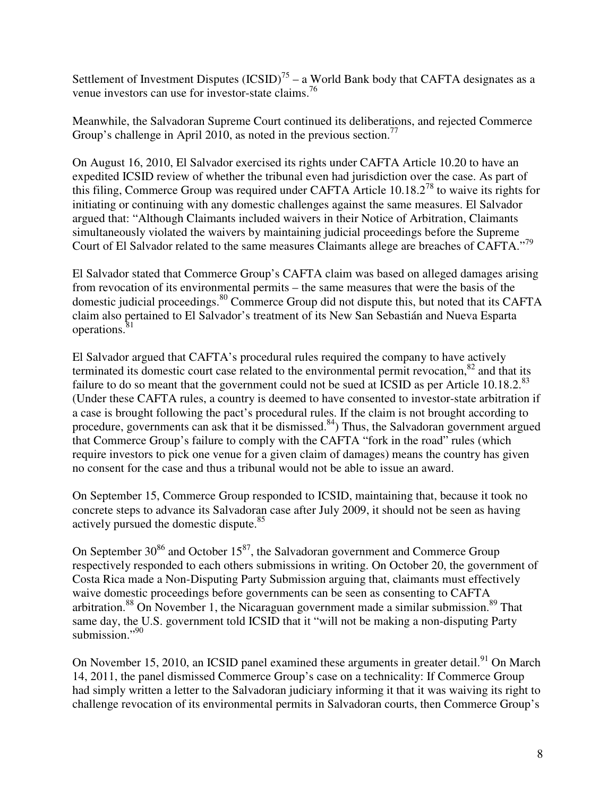Settlement of Investment Disputes  $(ICSID)^{75}$  – a World Bank body that CAFTA designates as a venue investors can use for investor-state claims.<sup>76</sup>

Meanwhile, the Salvadoran Supreme Court continued its deliberations, and rejected Commerce Group's challenge in April 2010, as noted in the previous section.<sup>77</sup>

On August 16, 2010, El Salvador exercised its rights under CAFTA Article 10.20 to have an expedited ICSID review of whether the tribunal even had jurisdiction over the case. As part of this filing, Commerce Group was required under CAFTA Article  $10.18.2^{78}$  to waive its rights for initiating or continuing with any domestic challenges against the same measures. El Salvador argued that: "Although Claimants included waivers in their Notice of Arbitration, Claimants simultaneously violated the waivers by maintaining judicial proceedings before the Supreme Court of El Salvador related to the same measures Claimants allege are breaches of CAFTA."<sup>79</sup>

El Salvador stated that Commerce Group's CAFTA claim was based on alleged damages arising from revocation of its environmental permits – the same measures that were the basis of the domestic judicial proceedings.<sup>80</sup> Commerce Group did not dispute this, but noted that its CAFTA claim also pertained to El Salvador's treatment of its New San Sebastián and Nueva Esparta operations.<sup>81</sup>

El Salvador argued that CAFTA's procedural rules required the company to have actively terminated its domestic court case related to the environmental permit revocation, $82$  and that its failure to do so meant that the government could not be sued at ICSID as per Article  $10.18.2$ <sup>83</sup> (Under these CAFTA rules, a country is deemed to have consented to investor-state arbitration if a case is brought following the pact's procedural rules. If the claim is not brought according to procedure, governments can ask that it be dismissed.<sup>84</sup>) Thus, the Salvadoran government argued that Commerce Group's failure to comply with the CAFTA "fork in the road" rules (which require investors to pick one venue for a given claim of damages) means the country has given no consent for the case and thus a tribunal would not be able to issue an award.

On September 15, Commerce Group responded to ICSID, maintaining that, because it took no concrete steps to advance its Salvadoran case after July 2009, it should not be seen as having actively pursued the domestic dispute.<sup>85</sup>

On September  $30^{86}$  and October  $15^{87}$ , the Salvadoran government and Commerce Group respectively responded to each others submissions in writing. On October 20, the government of Costa Rica made a Non-Disputing Party Submission arguing that, claimants must effectively waive domestic proceedings before governments can be seen as consenting to CAFTA arbitration.<sup>88</sup> On November 1, the Nicaraguan government made a similar submission.<sup>89</sup> That same day, the U.S. government told ICSID that it "will not be making a non-disputing Party submission."<sup>90</sup>

On November 15, 2010, an ICSID panel examined these arguments in greater detail.<sup>91</sup> On March 14, 2011, the panel dismissed Commerce Group's case on a technicality: If Commerce Group had simply written a letter to the Salvadoran judiciary informing it that it was waiving its right to challenge revocation of its environmental permits in Salvadoran courts, then Commerce Group's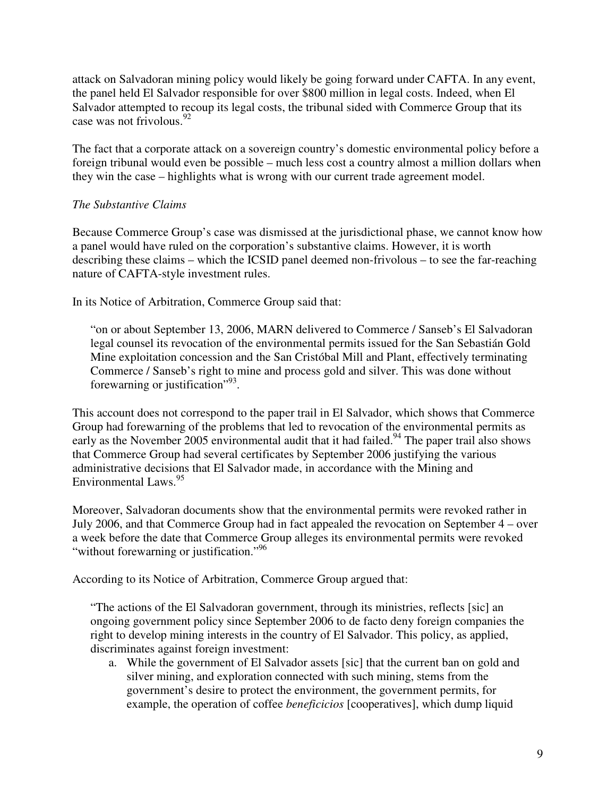attack on Salvadoran mining policy would likely be going forward under CAFTA. In any event, the panel held El Salvador responsible for over \$800 million in legal costs. Indeed, when El Salvador attempted to recoup its legal costs, the tribunal sided with Commerce Group that its case was not frivolous.<sup>92</sup>

The fact that a corporate attack on a sovereign country's domestic environmental policy before a foreign tribunal would even be possible – much less cost a country almost a million dollars when they win the case – highlights what is wrong with our current trade agreement model.

# *The Substantive Claims*

Because Commerce Group's case was dismissed at the jurisdictional phase, we cannot know how a panel would have ruled on the corporation's substantive claims. However, it is worth describing these claims – which the ICSID panel deemed non-frivolous – to see the far-reaching nature of CAFTA-style investment rules.

In its Notice of Arbitration, Commerce Group said that:

"on or about September 13, 2006, MARN delivered to Commerce / Sanseb's El Salvadoran legal counsel its revocation of the environmental permits issued for the San Sebastián Gold Mine exploitation concession and the San Cristóbal Mill and Plant, effectively terminating Commerce / Sanseb's right to mine and process gold and silver. This was done without forewarning or justification"<sup>93</sup>.

This account does not correspond to the paper trail in El Salvador, which shows that Commerce Group had forewarning of the problems that led to revocation of the environmental permits as early as the November 2005 environmental audit that it had failed.<sup>94</sup> The paper trail also shows that Commerce Group had several certificates by September 2006 justifying the various administrative decisions that El Salvador made, in accordance with the Mining and Environmental Laws.<sup>95</sup>

Moreover, Salvadoran documents show that the environmental permits were revoked rather in July 2006, and that Commerce Group had in fact appealed the revocation on September 4 – over a week before the date that Commerce Group alleges its environmental permits were revoked "without forewarning or justification."<sup>96</sup>

According to its Notice of Arbitration, Commerce Group argued that:

"The actions of the El Salvadoran government, through its ministries, reflects [sic] an ongoing government policy since September 2006 to de facto deny foreign companies the right to develop mining interests in the country of El Salvador. This policy, as applied, discriminates against foreign investment:

a. While the government of El Salvador assets [sic] that the current ban on gold and silver mining, and exploration connected with such mining, stems from the government's desire to protect the environment, the government permits, for example, the operation of coffee *beneficicios* [cooperatives], which dump liquid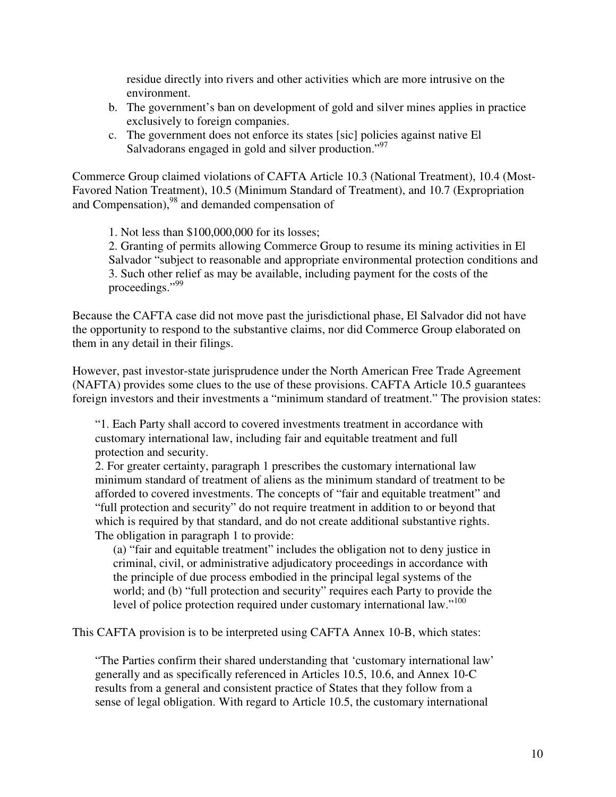residue directly into rivers and other activities which are more intrusive on the environment.

- b. The government's ban on development of gold and silver mines applies in practice exclusively to foreign companies.
- c. The government does not enforce its states [sic] policies against native El Salvadorans engaged in gold and silver production."<sup>97</sup>

Commerce Group claimed violations of CAFTA Article 10.3 (National Treatment), 10.4 (Most-Favored Nation Treatment), 10.5 (Minimum Standard of Treatment), and 10.7 (Expropriation and Compensation), $^{98}$  and demanded compensation of

1. Not less than \$100,000,000 for its losses;

2. Granting of permits allowing Commerce Group to resume its mining activities in El Salvador "subject to reasonable and appropriate environmental protection conditions and 3. Such other relief as may be available, including payment for the costs of the proceedings."<sup>99</sup>

Because the CAFTA case did not move past the jurisdictional phase, El Salvador did not have the opportunity to respond to the substantive claims, nor did Commerce Group elaborated on them in any detail in their filings.

However, past investor-state jurisprudence under the North American Free Trade Agreement (NAFTA) provides some clues to the use of these provisions. CAFTA Article 10.5 guarantees foreign investors and their investments a "minimum standard of treatment." The provision states:

"1. Each Party shall accord to covered investments treatment in accordance with customary international law, including fair and equitable treatment and full protection and security.

2. For greater certainty, paragraph 1 prescribes the customary international law minimum standard of treatment of aliens as the minimum standard of treatment to be afforded to covered investments. The concepts of "fair and equitable treatment" and "full protection and security" do not require treatment in addition to or beyond that which is required by that standard, and do not create additional substantive rights. The obligation in paragraph 1 to provide:

(a) "fair and equitable treatment" includes the obligation not to deny justice in criminal, civil, or administrative adjudicatory proceedings in accordance with the principle of due process embodied in the principal legal systems of the world; and (b) "full protection and security" requires each Party to provide the level of police protection required under customary international law."<sup>100</sup>

This CAFTA provision is to be interpreted using CAFTA Annex 10-B, which states:

"The Parties confirm their shared understanding that 'customary international law' generally and as specifically referenced in Articles 10.5, 10.6, and Annex 10-C results from a general and consistent practice of States that they follow from a sense of legal obligation. With regard to Article 10.5, the customary international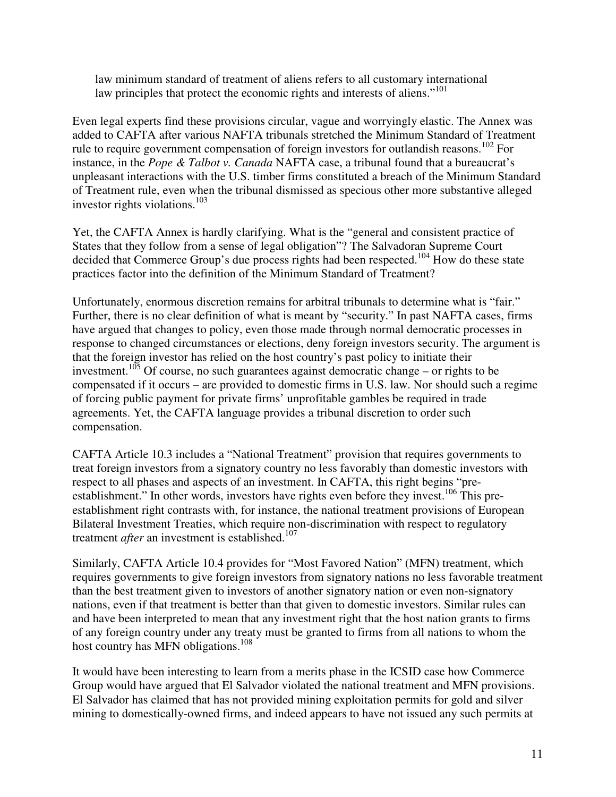law minimum standard of treatment of aliens refers to all customary international law principles that protect the economic rights and interests of aliens."<sup>101</sup>

Even legal experts find these provisions circular, vague and worryingly elastic. The Annex was added to CAFTA after various NAFTA tribunals stretched the Minimum Standard of Treatment rule to require government compensation of foreign investors for outlandish reasons.<sup>102</sup> For instance, in the *Pope & Talbot v. Canada* NAFTA case, a tribunal found that a bureaucrat's unpleasant interactions with the U.S. timber firms constituted a breach of the Minimum Standard of Treatment rule, even when the tribunal dismissed as specious other more substantive alleged investor rights violations. $^{103}$ 

Yet, the CAFTA Annex is hardly clarifying. What is the "general and consistent practice of States that they follow from a sense of legal obligation"? The Salvadoran Supreme Court decided that Commerce Group's due process rights had been respected.<sup>104</sup> How do these state practices factor into the definition of the Minimum Standard of Treatment?

Unfortunately, enormous discretion remains for arbitral tribunals to determine what is "fair." Further, there is no clear definition of what is meant by "security." In past NAFTA cases, firms have argued that changes to policy, even those made through normal democratic processes in response to changed circumstances or elections, deny foreign investors security. The argument is that the foreign investor has relied on the host country's past policy to initiate their investment.<sup>105</sup> Of course, no such guarantees against democratic change – or rights to be compensated if it occurs – are provided to domestic firms in U.S. law. Nor should such a regime of forcing public payment for private firms' unprofitable gambles be required in trade agreements. Yet, the CAFTA language provides a tribunal discretion to order such compensation.

CAFTA Article 10.3 includes a "National Treatment" provision that requires governments to treat foreign investors from a signatory country no less favorably than domestic investors with respect to all phases and aspects of an investment. In CAFTA, this right begins "preestablishment." In other words, investors have rights even before they invest.<sup>106</sup> This preestablishment right contrasts with, for instance, the national treatment provisions of European Bilateral Investment Treaties, which require non-discrimination with respect to regulatory treatment *after* an investment is established.<sup>107</sup>

Similarly, CAFTA Article 10.4 provides for "Most Favored Nation" (MFN) treatment, which requires governments to give foreign investors from signatory nations no less favorable treatment than the best treatment given to investors of another signatory nation or even non-signatory nations, even if that treatment is better than that given to domestic investors. Similar rules can and have been interpreted to mean that any investment right that the host nation grants to firms of any foreign country under any treaty must be granted to firms from all nations to whom the host country has MFN obligations.<sup>108</sup>

It would have been interesting to learn from a merits phase in the ICSID case how Commerce Group would have argued that El Salvador violated the national treatment and MFN provisions. El Salvador has claimed that has not provided mining exploitation permits for gold and silver mining to domestically-owned firms, and indeed appears to have not issued any such permits at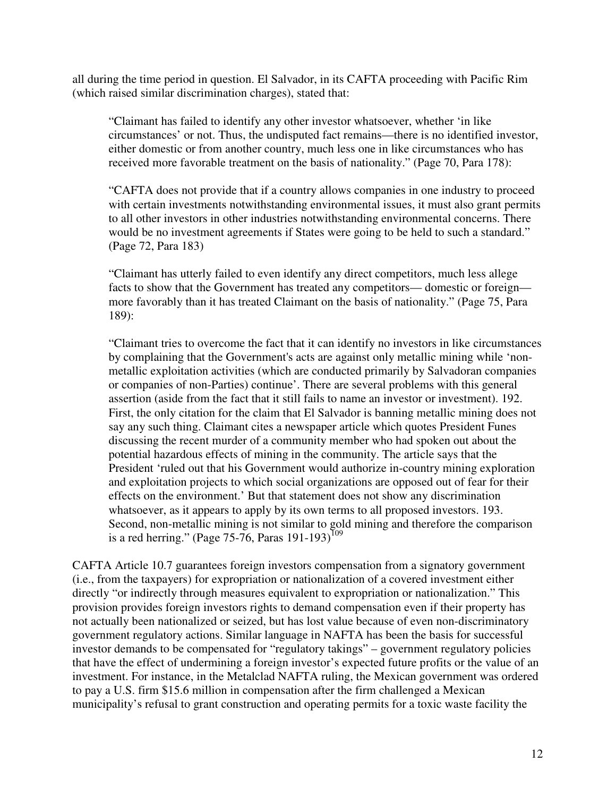all during the time period in question. El Salvador, in its CAFTA proceeding with Pacific Rim (which raised similar discrimination charges), stated that:

"Claimant has failed to identify any other investor whatsoever, whether 'in like circumstances' or not. Thus, the undisputed fact remains—there is no identified investor, either domestic or from another country, much less one in like circumstances who has received more favorable treatment on the basis of nationality." (Page 70, Para 178):

"CAFTA does not provide that if a country allows companies in one industry to proceed with certain investments notwithstanding environmental issues, it must also grant permits to all other investors in other industries notwithstanding environmental concerns. There would be no investment agreements if States were going to be held to such a standard." (Page 72, Para 183)

"Claimant has utterly failed to even identify any direct competitors, much less allege facts to show that the Government has treated any competitors— domestic or foreign more favorably than it has treated Claimant on the basis of nationality." (Page 75, Para 189):

"Claimant tries to overcome the fact that it can identify no investors in like circumstances by complaining that the Government's acts are against only metallic mining while 'nonmetallic exploitation activities (which are conducted primarily by Salvadoran companies or companies of non-Parties) continue'. There are several problems with this general assertion (aside from the fact that it still fails to name an investor or investment). 192. First, the only citation for the claim that El Salvador is banning metallic mining does not say any such thing. Claimant cites a newspaper article which quotes President Funes discussing the recent murder of a community member who had spoken out about the potential hazardous effects of mining in the community. The article says that the President 'ruled out that his Government would authorize in-country mining exploration and exploitation projects to which social organizations are opposed out of fear for their effects on the environment.' But that statement does not show any discrimination whatsoever, as it appears to apply by its own terms to all proposed investors. 193. Second, non-metallic mining is not similar to gold mining and therefore the comparison is a red herring." (Page 75-76, Paras 191-193)<sup>109</sup>

CAFTA Article 10.7 guarantees foreign investors compensation from a signatory government (i.e., from the taxpayers) for expropriation or nationalization of a covered investment either directly "or indirectly through measures equivalent to expropriation or nationalization." This provision provides foreign investors rights to demand compensation even if their property has not actually been nationalized or seized, but has lost value because of even non-discriminatory government regulatory actions. Similar language in NAFTA has been the basis for successful investor demands to be compensated for "regulatory takings" – government regulatory policies that have the effect of undermining a foreign investor's expected future profits or the value of an investment. For instance, in the Metalclad NAFTA ruling, the Mexican government was ordered to pay a U.S. firm \$15.6 million in compensation after the firm challenged a Mexican municipality's refusal to grant construction and operating permits for a toxic waste facility the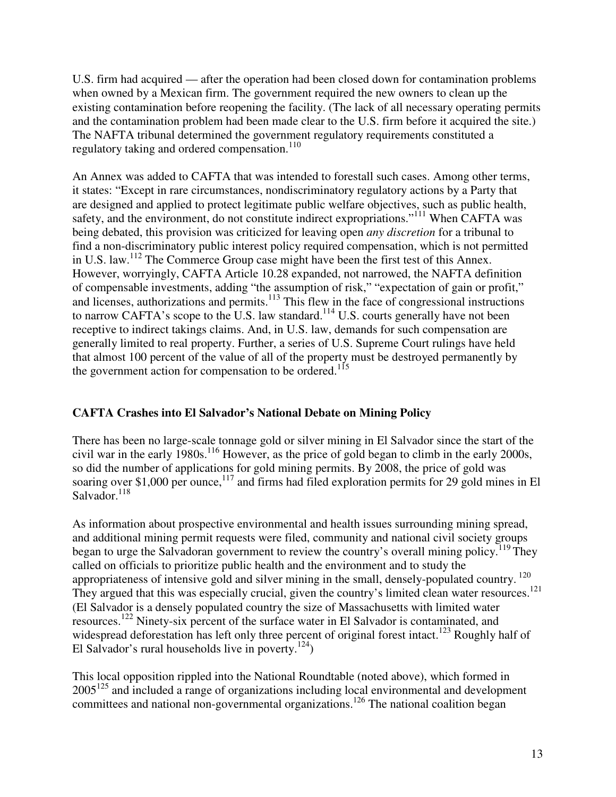U.S. firm had acquired — after the operation had been closed down for contamination problems when owned by a Mexican firm. The government required the new owners to clean up the existing contamination before reopening the facility. (The lack of all necessary operating permits and the contamination problem had been made clear to the U.S. firm before it acquired the site.) The NAFTA tribunal determined the government regulatory requirements constituted a regulatory taking and ordered compensation.<sup>110</sup>

An Annex was added to CAFTA that was intended to forestall such cases. Among other terms, it states: "Except in rare circumstances, nondiscriminatory regulatory actions by a Party that are designed and applied to protect legitimate public welfare objectives, such as public health, safety, and the environment, do not constitute indirect expropriations."<sup>111</sup> When CAFTA was being debated, this provision was criticized for leaving open *any discretion* for a tribunal to find a non-discriminatory public interest policy required compensation, which is not permitted in U.S. law.<sup>112</sup> The Commerce Group case might have been the first test of this Annex. However, worryingly, CAFTA Article 10.28 expanded, not narrowed, the NAFTA definition of compensable investments, adding "the assumption of risk," "expectation of gain or profit," and licenses, authorizations and permits.<sup>113</sup> This flew in the face of congressional instructions to narrow CAFTA's scope to the U.S. law standard.<sup>114</sup> U.S. courts generally have not been receptive to indirect takings claims. And, in U.S. law, demands for such compensation are generally limited to real property. Further, a series of U.S. Supreme Court rulings have held that almost 100 percent of the value of all of the property must be destroyed permanently by the government action for compensation to be ordered.<sup>115</sup>

# **CAFTA Crashes into El Salvador's National Debate on Mining Policy**

There has been no large-scale tonnage gold or silver mining in El Salvador since the start of the civil war in the early  $1980s$ .<sup>116</sup> However, as the price of gold began to climb in the early 2000s, so did the number of applications for gold mining permits. By 2008, the price of gold was soaring over \$1,000 per ounce,<sup>117</sup> and firms had filed exploration permits for 29 gold mines in El Salvador.<sup>118</sup>

As information about prospective environmental and health issues surrounding mining spread, and additional mining permit requests were filed, community and national civil society groups began to urge the Salvadoran government to review the country's overall mining policy.<sup>119</sup>They called on officials to prioritize public health and the environment and to study the appropriateness of intensive gold and silver mining in the small, densely-populated country.<sup>120</sup> They argued that this was especially crucial, given the country's limited clean water resources.<sup>121</sup> (El Salvador is a densely populated country the size of Massachusetts with limited water resources. <sup>122</sup> Ninety-six percent of the surface water in El Salvador is contaminated, and widespread deforestation has left only three percent of original forest intact.<sup>123</sup> Roughly half of El Salvador's rural households live in poverty.<sup>124</sup>)

This local opposition rippled into the National Roundtable (noted above), which formed in 2005<sup>125</sup> and included a range of organizations including local environmental and development committees and national non-governmental organizations.<sup>126</sup> The national coalition began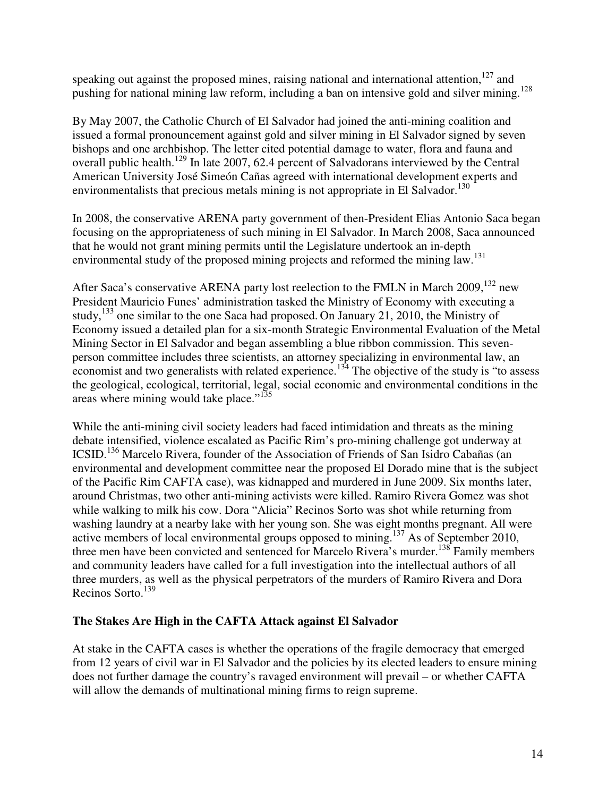speaking out against the proposed mines, raising national and international attention, $127$  and pushing for national mining law reform, including a ban on intensive gold and silver mining.<sup>128</sup>

By May 2007, the Catholic Church of El Salvador had joined the anti-mining coalition and issued a formal pronouncement against gold and silver mining in El Salvador signed by seven bishops and one archbishop. The letter cited potential damage to water, flora and fauna and overall public health.<sup>129</sup> In late 2007, 62.4 percent of Salvadorans interviewed by the Central American University José Simeón Cañas agreed with international development experts and environmentalists that precious metals mining is not appropriate in El Salvador.<sup>130</sup>

In 2008, the conservative ARENA party government of then-President Elias Antonio Saca began focusing on the appropriateness of such mining in El Salvador. In March 2008, Saca announced that he would not grant mining permits until the Legislature undertook an in-depth environmental study of the proposed mining projects and reformed the mining law.<sup>131</sup>

After Saca's conservative ARENA party lost reelection to the FMLN in March  $2009$ ,  $^{132}$  new President Mauricio Funes' administration tasked the Ministry of Economy with executing a study,  $^{133}$  one similar to the one Saca had proposed. On January 21, 2010, the Ministry of Economy issued a detailed plan for a six-month Strategic Environmental Evaluation of the Metal Mining Sector in El Salvador and began assembling a blue ribbon commission. This sevenperson committee includes three scientists, an attorney specializing in environmental law, an economist and two generalists with related experience.<sup>134</sup> The objective of the study is "to assess" the geological, ecological, territorial, legal, social economic and environmental conditions in the areas where mining would take place."<sup>135</sup>

While the anti-mining civil society leaders had faced intimidation and threats as the mining debate intensified, violence escalated as Pacific Rim's pro-mining challenge got underway at ICSID.<sup>136</sup> Marcelo Rivera, founder of the Association of Friends of San Isidro Cabañas (an environmental and development committee near the proposed El Dorado mine that is the subject of the Pacific Rim CAFTA case), was kidnapped and murdered in June 2009. Six months later, around Christmas, two other anti-mining activists were killed. Ramiro Rivera Gomez was shot while walking to milk his cow. Dora "Alicia" Recinos Sorto was shot while returning from washing laundry at a nearby lake with her young son. She was eight months pregnant. All were active members of local environmental groups opposed to mining.<sup>137</sup> As of September 2010, three men have been convicted and sentenced for Marcelo Rivera's murder.<sup>138</sup> Family members and community leaders have called for a full investigation into the intellectual authors of all three murders, as well as the physical perpetrators of the murders of Ramiro Rivera and Dora Recinos Sorto.<sup>139</sup>

# **The Stakes Are High in the CAFTA Attack against El Salvador**

At stake in the CAFTA cases is whether the operations of the fragile democracy that emerged from 12 years of civil war in El Salvador and the policies by its elected leaders to ensure mining does not further damage the country's ravaged environment will prevail – or whether CAFTA will allow the demands of multinational mining firms to reign supreme.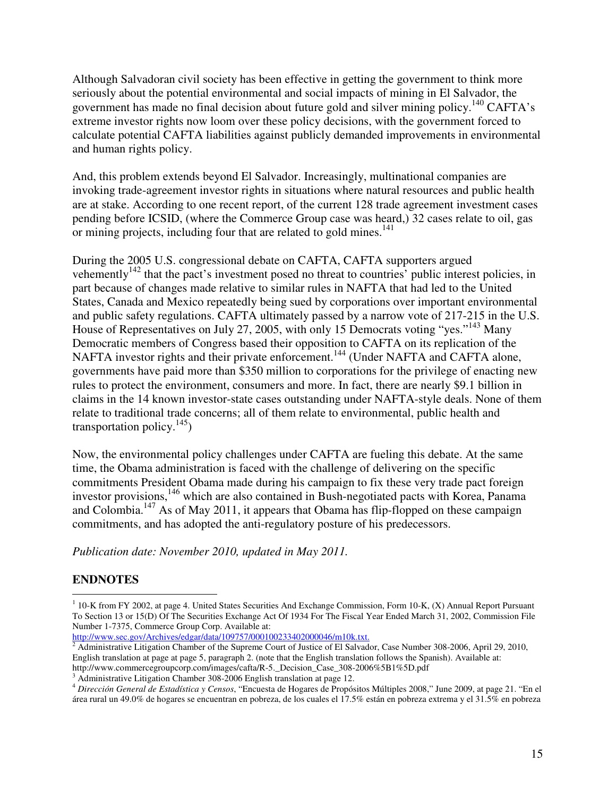Although Salvadoran civil society has been effective in getting the government to think more seriously about the potential environmental and social impacts of mining in El Salvador, the government has made no final decision about future gold and silver mining policy.<sup>140</sup> CAFTA's extreme investor rights now loom over these policy decisions, with the government forced to calculate potential CAFTA liabilities against publicly demanded improvements in environmental and human rights policy.

And, this problem extends beyond El Salvador. Increasingly, multinational companies are invoking trade-agreement investor rights in situations where natural resources and public health are at stake. According to one recent report, of the current 128 trade agreement investment cases pending before ICSID, (where the Commerce Group case was heard,) 32 cases relate to oil, gas or mining projects, including four that are related to gold mines.<sup>141</sup>

During the 2005 U.S. congressional debate on CAFTA, CAFTA supporters argued vehemently<sup>142</sup> that the pact's investment posed no threat to countries' public interest policies, in part because of changes made relative to similar rules in NAFTA that had led to the United States, Canada and Mexico repeatedly being sued by corporations over important environmental and public safety regulations. CAFTA ultimately passed by a narrow vote of 217-215 in the U.S. House of Representatives on July 27, 2005, with only 15 Democrats voting "yes."<sup>143</sup> Many Democratic members of Congress based their opposition to CAFTA on its replication of the NAFTA investor rights and their private enforcement.<sup>144</sup> (Under NAFTA and CAFTA alone, governments have paid more than \$350 million to corporations for the privilege of enacting new rules to protect the environment, consumers and more. In fact, there are nearly \$9.1 billion in claims in the 14 known investor-state cases outstanding under NAFTA-style deals. None of them relate to traditional trade concerns; all of them relate to environmental, public health and transportation policy.<sup>145</sup>)

Now, the environmental policy challenges under CAFTA are fueling this debate. At the same time, the Obama administration is faced with the challenge of delivering on the specific commitments President Obama made during his campaign to fix these very trade pact foreign investor provisions,<sup>146</sup> which are also contained in Bush-negotiated pacts with Korea, Panama and Colombia.<sup>147</sup> As of May 2011, it appears that Obama has flip-flopped on these campaign commitments, and has adopted the anti-regulatory posture of his predecessors.

*Publication date: November 2010, updated in May 2011.*

# **ENDNOTES**

 $\overline{a}$ 

 $1$  10-K from FY 2002, at page 4. United States Securities And Exchange Commission, Form 10-K, (X) Annual Report Pursuant To Section 13 or 15(D) Of The Securities Exchange Act Of 1934 For The Fiscal Year Ended March 31, 2002, Commission File Number 1-7375, Commerce Group Corp. Available at:

http://www.sec.gov/Archives/edgar/data/109757/000100233402000046/m10k.txt.<br><sup>2</sup> Administrative Litigation Chamber of the Supreme Court of Justice of El Salvador, Case Number 308-2006, April 29, 2010, English translation at page at page 5, paragraph 2. (note that the English translation follows the Spanish). Available at: http://www.commercegroupcorp.com/images/cafta/R-5.\_Decision\_Case\_308-2006%5B1%5D.pdf

<sup>&</sup>lt;sup>3</sup> Administrative Litigation Chamber 308-2006 English translation at page 12.

<sup>4</sup> *Dirección General de Estadística y Censos*, "Encuesta de Hogares de Propósitos Múltiples 2008," June 2009, at page 21. "En el área rural un 49.0% de hogares se encuentran en pobreza, de los cuales el 17.5% están en pobreza extrema y el 31.5% en pobreza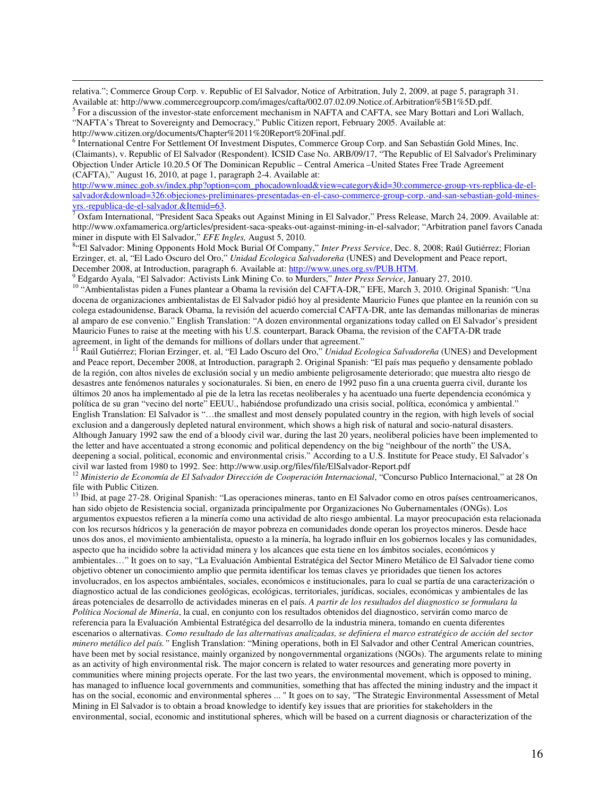relativa."; Commerce Group Corp. v. Republic of El Salvador, Notice of Arbitration, July 2, 2009, at page 5, paragraph 31. Available at: http://www.commercegroupcorp.com/images/cafta/002.07.02.09.Notice.of.Arbitration%5B1%5D.pdf.

<sup>5</sup> For a discussion of the investor-state enforcement mechanism in NAFTA and CAFTA, see Mary Bottari and Lori Wallach, "NAFTA's Threat to Sovereignty and Democracy," Public Citizen report, February 2005. Available at:

http://www.citizen.org/documents/Chapter%2011%20Report%20Final.pdf.

 $\overline{a}$ 

<sup>6</sup> International Centre For Settlement Of Investment Disputes, Commerce Group Corp. and San Sebastián Gold Mines, Inc. (Claimants), v. Republic of El Salvador (Respondent). ICSID Case No. ARB/09/17, "The Republic of El Salvador's Preliminary Objection Under Article 10.20.5 Of The Dominican Republic – Central America –United States Free Trade Agreement (CAFTA)," August 16, 2010, at page 1, paragraph 2-4. Available at:

http://www.minec.gob.sv/index.php?option=com\_phocadownload&view=category&id=30:commerce-group-vrs-repblica-de-elsalvador&download=326:objeciones-preliminares-presentadas-en-el-caso-commerce-group-corp.-and-san-sebastian-gold-mines-

vrs.-republica-de-el-salvador.&Itemid=63.<br><sup>7</sup> Oxfam International, "President Saca Speaks out Against Mining in El Salvador," Press Release, March 24, 2009. Available at: http://www.oxfamamerica.org/articles/president-saca-speaks-out-against-mining-in-el-salvador; "Arbitration panel favors Canada miner in dispute with El Salvador," *EFE Ingles,* August 5, 2010.

8 "El Salvador: Mining Opponents Hold Mock Burial Of Company," *Inter Press Service*, Dec. 8, 2008; Raúl Gutiérrez; Florian Erzinger, et. al, "El Lado Oscuro del Oro," *Unidad Ecologica Salvadoreña* (UNES) and Development and Peace report, December 2008, at Introduction, paragraph 6. Available at: http://www.unes.org.sv/PUB.HTM.

9 Edgardo Ayala, "El Salvador: Activists Link Mining Co. to Murders," *Inter Press Service*, January 27, 2010. <sup>10</sup> "Ambientalistas piden a Funes plantear a Obama la revisión del CAFTA-DR," EFE, March 3, 2010. Original Spanish: "Una docena de organizaciones ambientalistas de El Salvador pidió hoy al presidente Mauricio Funes que plantee en la reunión con su colega estadounidense, Barack Obama, la revisión del acuerdo comercial CAFTA-DR, ante las demandas millonarias de mineras al amparo de ese convenio." English Translation: "A dozen environmental organizations today called on El Salvador's president Mauricio Funes to raise at the meeting with his U.S. counterpart, Barack Obama, the revision of the CAFTA-DR trade agreement, in light of the demands for millions of dollars under that agreement."

<sup>11</sup> Raúl Gutiérrez; Florian Erzinger, et. al, "El Lado Oscuro del Oro," *Unidad Ecologica Salvadoreña* (UNES) and Development and Peace report, December 2008, at Introduction, paragraph 2. Original Spanish: "El país mas pequeño y densamente poblado de la región, con altos niveles de exclusión social y un medio ambiente peligrosamente deteriorado; que muestra alto riesgo de desastres ante fenómenos naturales y socionaturales. Si bien, en enero de 1992 puso fin a una cruenta guerra civil, durante los últimos 20 anos ha implementado al pie de la letra las recetas neoliberales y ha acentuado una fuerte dependencia económica y política de su gran "vecino del norte" EEUU., habiéndose profundizado una crisis social, política, económica y ambiental." English Translation: El Salvador is "…the smallest and most densely populated country in the region, with high levels of social exclusion and a dangerously depleted natural environment, which shows a high risk of natural and socio-natural disasters. Although January 1992 saw the end of a bloody civil war, during the last 20 years, neoliberal policies have been implemented to the letter and have accentuated a strong economic and political dependency on the big "neighbour of the north" the USA, deepening a social, political, economic and environmental crisis." According to a U.S. Institute for Peace study, El Salvador's civil war lasted from 1980 to 1992. See: http://www.usip.org/files/file/ElSalvador-Report.pdf

<sup>12</sup> Ministerio de Economía de El Salvador Dirección de Cooperación Internacional, "Concurso Publico Internacional," at 28 On file with Public Citizen.

 $13$  Ibid, at page 27-28. Original Spanish: "Las operaciones mineras, tanto en El Salvador como en otros países centroamericanos, han sido objeto de Resistencia social, organizada principalmente por Organizaciones No Gubernamentales (ONGs). Los argumentos expuestos refieren a la minería como una actividad de alto riesgo ambiental. La mayor preocupación esta relacionada con los recursos hídricos y la generación de mayor pobreza en comunidades donde operan los proyectos mineros. Desde hace unos dos anos, el movimiento ambientalista, opuesto a la minería, ha logrado influir en los gobiernos locales y las comunidades, aspecto que ha incidido sobre la actividad minera y los alcances que esta tiene en los ámbitos sociales, económicos y ambientales…" It goes on to say, "La Evaluación Ambiental Estratégica del Sector Minero Metálico de El Salvador tiene como objetivo obtener un conocimiento amplio que permita identificar los temas claves ye prioridades que tienen los actores involucrados, en los aspectos ambiéntales, sociales, económicos e institucionales, para lo cual se partía de una caracterización o diagnostico actual de las condiciones geológicas, ecológicas, territoriales, jurídicas, sociales, económicas y ambientales de las áreas potenciales de desarrollo de actividades mineras en el país. *A partir de los resultados del diagnostico se formulara la Política Nocional de Minería*, la cual, en conjunto con los resultados obtenidos del diagnostico, servirán como marco de referencia para la Evaluación Ambiental Estratégica del desarrollo de la industria minera, tomando en cuenta diferentes escenarios o alternativas. *Como resultado de las alternativas analizadas, se definiera el marco estratégico de acción del sector minero metálico del país."* English Translation: "Mining operations, both in El Salvador and other Central American countries, have been met by social resistance, mainly organized by nongovernmental organizations (NGOs). The arguments relate to mining as an activity of high environmental risk. The major concern is related to water resources and generating more poverty in communities where mining projects operate. For the last two years, the environmental movement, which is opposed to mining, has managed to influence local governments and communities, something that has affected the mining industry and the impact it has on the social, economic and environmental spheres ... " It goes on to say, "The Strategic Environmental Assessment of Metal Mining in El Salvador is to obtain a broad knowledge to identify key issues that are priorities for stakeholders in the environmental, social, economic and institutional spheres, which will be based on a current diagnosis or characterization of the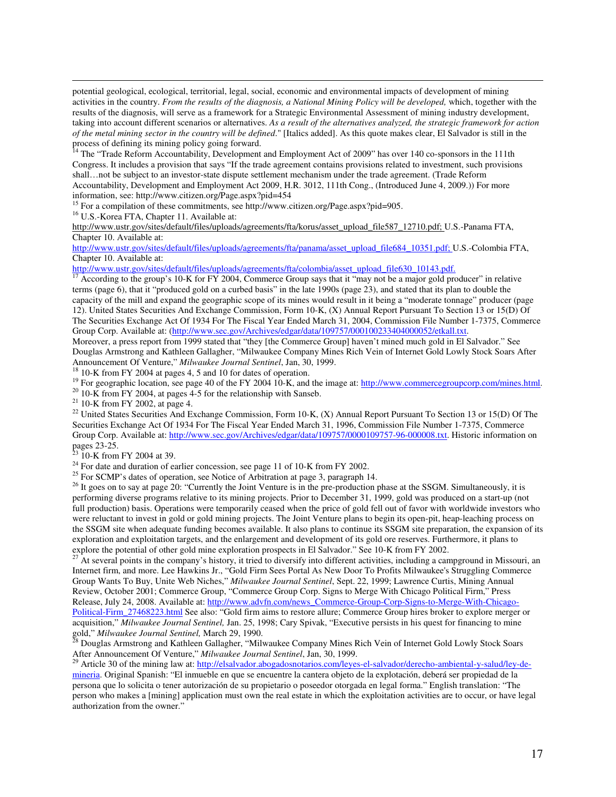potential geological, ecological, territorial, legal, social, economic and environmental impacts of development of mining activities in the country. *From the results of the diagnosis, a National Mining Policy will be developed,* which, together with the results of the diagnosis, will serve as a framework for a Strategic Environmental Assessment of mining industry development, taking into account different scenarios or alternatives. *As a result of the alternatives analyzed, the strategic framework for action of the metal mining sector in the country will be defined*." [Italics added]. As this quote makes clear, El Salvador is still in the process of defining its mining policy going forward.

<sup>14</sup> The "Trade Reform Accountability, Development and Employment Act of 2009" has over 140 co-sponsors in the 111th Congress. It includes a provision that says "If the trade agreement contains provisions related to investment, such provisions shall…not be subject to an investor-state dispute settlement mechanism under the trade agreement. (Trade Reform Accountability, Development and Employment Act 2009, H.R. 3012, 111th Cong., (Introduced June 4, 2009.)) For more information, see: http://www.citizen.org/Page.aspx?pid=454

<sup>15</sup> For a compilation of these commitments, see http://www.citizen.org/Page.aspx?pid=905.

<sup>16</sup> U.S.-Korea FTA, Chapter 11. Available at:

 $\overline{a}$ 

http://www.ustr.gov/sites/default/files/uploads/agreements/fta/korus/asset\_upload\_file587\_12710.pdf; U.S.-Panama FTA, Chapter 10. Available at:

http://www.ustr.gov/sites/default/files/uploads/agreements/fta/panama/asset\_upload\_file684\_10351.pdf; U.S.-Colombia FTA, Chapter 10. Available at:

http://www.ustr.gov/sites/default/files/uploads/agreements/fta/colombia/asset\_upload\_file630\_10143.pdf.

According to the group's 10-K for FY 2004, Commerce Group says that it "may not be a major gold producer" in relative terms (page 6), that it "produced gold on a curbed basis" in the late 1990s (page 23), and stated that its plan to double the capacity of the mill and expand the geographic scope of its mines would result in it being a "moderate tonnage" producer (page 12). United States Securities And Exchange Commission, Form 10-K, (X) Annual Report Pursuant To Section 13 or 15(D) Of The Securities Exchange Act Of 1934 For The Fiscal Year Ended March 31, 2004, Commission File Number 1-7375, Commerce Group Corp. Available at: (http://www.sec.gov/Archives/edgar/data/109757/000100233404000052/etkall.txt.

Moreover, a press report from 1999 stated that "they [the Commerce Group] haven't mined much gold in El Salvador." See Douglas Armstrong and Kathleen Gallagher, "Milwaukee Company Mines Rich Vein of Internet Gold Lowly Stock Soars After Announcement Of Venture," *Milwaukee Journal Sentinel*, Jan, 30, 1999.

<sup>18</sup> 10-K from FY 2004 at pages 4, 5 and 10 for dates of operation.

<sup>19</sup> For geographic location, see page 40 of the FY 2004 10-K, and the image at: http://www.commercegroupcorp.com/mines.html.

 $20\overline{10}$ -K from FY 2004, at pages 4-5 for the relationship with Sanseb.

<sup>21</sup> 10-K from FY 2002, at page 4.

<sup>22</sup> United States Securities And Exchange Commission, Form 10-K, (X) Annual Report Pursuant To Section 13 or 15(D) Of The Securities Exchange Act Of 1934 For The Fiscal Year Ended March 31, 1996, Commission File Number 1-7375, Commerce Group Corp. Available at: http://www.sec.gov/Archives/edgar/data/109757/0000109757-96-000008.txt. Historic information on pages 23-25.

 $23$  10-K from FY 2004 at 39.

 $24$  For date and duration of earlier concession, see page 11 of 10-K from FY 2002.

<sup>25</sup> For SCMP's dates of operation, see Notice of Arbitration at page 3, paragraph 14.

<sup>26</sup> It goes on to say at page 20: "Currently the Joint Venture is in the pre-production phase at the SSGM. Simultaneously, it is performing diverse programs relative to its mining projects. Prior to December 31, 1999, gold was produced on a start-up (not full production) basis. Operations were temporarily ceased when the price of gold fell out of favor with worldwide investors who were reluctant to invest in gold or gold mining projects. The Joint Venture plans to begin its open-pit, heap-leaching process on the SSGM site when adequate funding becomes available. It also plans to continue its SSGM site preparation, the expansion of its exploration and exploitation targets, and the enlargement and development of its gold ore reserves. Furthermore, it plans to explore the potential of other gold mine exploration prospects in El Salvador." See 10-K from FY 2002.

 $^{27}$  At several points in the company's history, it tried to diversify into different activities, including a campground in Missouri, an Internet firm, and more. Lee Hawkins Jr., "Gold Firm Sees Portal As New Door To Profits Milwaukee's Struggling Commerce Group Wants To Buy, Unite Web Niches," *Milwaukee Journal Sentinel*, Sept. 22, 1999; Lawrence Curtis, Mining Annual Review, October 2001; Commerce Group, "Commerce Group Corp. Signs to Merge With Chicago Political Firm," Press Release, July 24, 2008. Available at: http://www.advfn.com/news\_Commerce-Group-Corp-Signs-to-Merge-With-Chicago-Political-Firm\_27468223.html See also: "Gold firm aims to restore allure; Commerce Group hires broker to explore merger or acquisition," *Milwaukee Journal Sentinel,* Jan. 25, 1998; Cary Spivak, "Executive persists in his quest for financing to mine gold," *Milwaukee Journal Sentinel*, March 29, 1990.<br><sup>28</sup> Dave *L* 

<sup>28</sup> Douglas Armstrong and Kathleen Gallagher, "Milwaukee Company Mines Rich Vein of Internet Gold Lowly Stock Soars After Announcement Of Venture," *Milwaukee Journal Sentinel*, Jan, 30, 1999.

<sup>29</sup> Article 30 of the mining law at: http://elsalvador.abogadosnotarios.com/leyes-el-salvador/derecho-ambiental-y-salud/ley-demineria. Original Spanish: "El inmueble en que se encuentre la cantera objeto de la explotación, deberá ser propiedad de la persona que lo solicita o tener autorización de su propietario o poseedor otorgada en legal forma." English translation: "The person who makes a [mining] application must own the real estate in which the exploitation activities are to occur, or have legal authorization from the owner."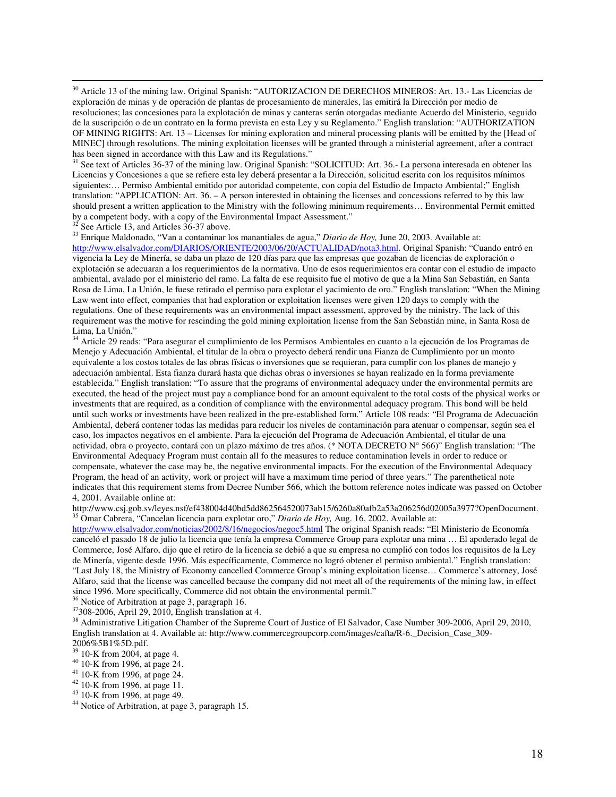$\overline{a}$ <sup>30</sup> Article 13 of the mining law. Original Spanish: "AUTORIZACION DE DERECHOS MINEROS: Art. 13.- Las Licencias de exploración de minas y de operación de plantas de procesamiento de minerales, las emitirá la Dirección por medio de resoluciones; las concesiones para la explotación de minas y canteras serán otorgadas mediante Acuerdo del Ministerio, seguido de la suscripción o de un contrato en la forma prevista en esta Ley y su Reglamento." English translation: "AUTHORIZATION OF MINING RIGHTS: Art. 13 – Licenses for mining exploration and mineral processing plants will be emitted by the [Head of MINEC] through resolutions. The mining exploitation licenses will be granted through a ministerial agreement, after a contract has been signed in accordance with this Law and its Regulations."

<sup>31</sup> See text of Articles 36-37 of the mining law. Original Spanish: "SOLICITUD: Art. 36.- La persona interesada en obtener las Licencias y Concesiones a que se refiere esta ley deberá presentar a la Dirección, solicitud escrita con los requisitos mínimos siguientes:... Permiso Ambiental emitido por autoridad competente, con copia del Estudio de Impacto Ambiental;" English translation: "APPLICATION: Art. 36.  $-\overrightarrow{A}$  person interested in obtaining the licenses and concessions referred to by this law should present a written application to the Ministry with the following minimum requirements… Environmental Permit emitted by a competent body, with a copy of the Environmental Impact Assessment."

 $32$  See Article 13, and Articles  $36-37$  above.

<sup>33</sup> Enrique Maldonado, "Van a contaminar los manantiales de agua," *Diario de Hoy,* June 20, 2003. Available at: http://www.elsalvador.com/DIARIOS/ORIENTE/2003/06/20/ACTUALIDAD/nota3.html. Original Spanish: "Cuando entró en vigencia la Ley de Minería, se daba un plazo de 120 días para que las empresas que gozaban de licencias de exploración o explotación se adecuaran a los requerimientos de la normativa. Uno de esos requerimientos era contar con el estudio de impacto ambiental, avalado por el ministerio del ramo. La falta de ese requisito fue el motivo de que a la Mina San Sebastián, en Santa Rosa de Lima, La Unión, le fuese retirado el permiso para explotar el yacimiento de oro." English translation: "When the Mining Law went into effect, companies that had exploration or exploitation licenses were given 120 days to comply with the regulations. One of these requirements was an environmental impact assessment, approved by the ministry. The lack of this requirement was the motive for rescinding the gold mining exploitation license from the San Sebastián mine, in Santa Rosa de Lima, La Unión."

<sup>34</sup> Article 29 reads: "Para asegurar el cumplimiento de los Permisos Ambientales en cuanto a la ejecución de los Programas de Menejo y Adecuación Ambiental, el titular de la obra o proyecto deberá rendir una Fianza de Cumplimiento por un monto equivalente a los costos totales de las obras físicas o inversiones que se requieran, para cumplir con los planes de manejo y adecuación ambiental. Esta fianza durará hasta que dichas obras o inversiones se hayan realizado en la forma previamente establecida." English translation: "To assure that the programs of environmental adequacy under the environmental permits are executed, the head of the project must pay a compliance bond for an amount equivalent to the total costs of the physical works or investments that are required, as a condition of compliance with the environmental adequacy program. This bond will be held until such works or investments have been realized in the pre-established form." Article 108 reads: "El Programa de Adecuación Ambiental, deberá contener todas las medidas para reducir los niveles de contaminación para atenuar o compensar, según sea el caso, los impactos negativos en el ambiente. Para la ejecución del Programa de Adecuación Ambiental, el titular de una actividad, obra o proyecto, contará con un plazo máximo de tres años. (\* NOTA DECRETO N° 566)" English translation: "The Environmental Adequacy Program must contain all fo the measures to reduce contamination levels in order to reduce or compensate, whatever the case may be, the negative environmental impacts. For the execution of the Environmental Adequacy Program, the head of an activity, work or project will have a maximum time period of three years." The parenthetical note indicates that this requirement stems from Decree Number 566, which the bottom reference notes indicate was passed on October 4, 2001. Available online at:

http://www.csj.gob.sv/leyes.nsf/ef438004d40bd5dd862564520073ab15/6260a80afb2a53a206256d02005a3977?OpenDocument. <sup>35</sup> Omar Cabrera, "Cancelan licencia para explotar oro," *Diario de Hoy,* Aug. 16, 2002. Available at:

http://www.elsalvador.com/noticias/2002/8/16/negocios/negoc5.html The original Spanish reads: "El Ministerio de Economía canceló el pasado 18 de julio la licencia que tenía la empresa Commerce Group para explotar una mina … El apoderado legal de Commerce, José Alfaro, dijo que el retiro de la licencia se debió a que su empresa no cumplió con todos los requisitos de la Ley de Minería, vigente desde 1996. Más específicamente, Commerce no logró obtener el permiso ambiental." English translation: "Last July 18, the Ministry of Economy cancelled Commerce Group's mining exploitation license… Commerce's attorney, José Alfaro, said that the license was cancelled because the company did not meet all of the requirements of the mining law, in effect since 1996. More specifically, Commerce did not obtain the environmental permit."

<sup>36</sup> Notice of Arbitration at page 3, paragraph 16.

<sup>37</sup>308-2006, April 29, 2010, English translation at 4.

<sup>38</sup> Administrative Litigation Chamber of the Supreme Court of Justice of El Salvador, Case Number 309-2006, April 29, 2010, English translation at 4. Available at: http://www.commercegroupcorp.com/images/cafta/R-6.\_Decision\_Case\_309- 2006%5B1%5D.pdf.

- $39^{39}$  10-K from 2004, at page 4.
- <sup>40</sup> 10-K from 1996, at page 24.
- <sup>41</sup> 10-K from 1996, at page 24.
- <sup>42</sup> 10-K from 1996, at page 11.
- <sup>43</sup> 10-K from 1996, at page 49.
- <sup>44</sup> Notice of Arbitration, at page 3, paragraph 15.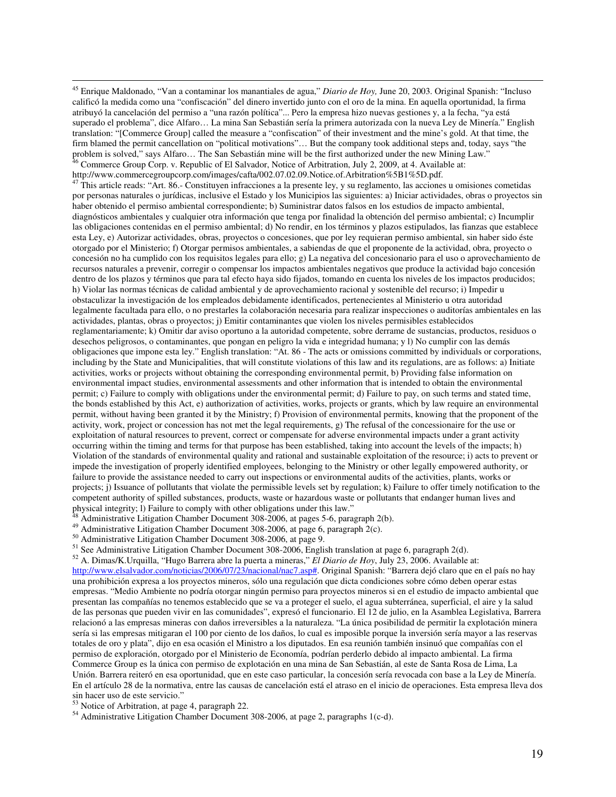<sup>45</sup> Enrique Maldonado, "Van a contaminar los manantiales de agua," *Diario de Hoy,* June 20, 2003. Original Spanish: "Incluso calificó la medida como una "confiscación" del dinero invertido junto con el oro de la mina. En aquella oportunidad, la firma atribuyó la cancelación del permiso a "una razón política"... Pero la empresa hizo nuevas gestiones y, a la fecha, "ya está superado el problema", dice Alfaro… La mina San Sebastián sería la primera autorizada con la nueva Ley de Minería." English translation: "[Commerce Group] called the measure a "confiscation" of their investment and the mine's gold. At that time, the firm blamed the permit cancellation on "political motivations"... But the company took additional steps and, today, says "the problem is solved," says Alfaro… The San Sebastián mine will be the first authorized under the new Mining Law." <sup>46</sup> Commerce Group Corp. v. Republic of El Salvador, Notice of Arbitration, July 2, 2009, at 4. Available at: http://www.commercegroupcorp.com/images/cafta/002.07.02.09.Notice.of.Arbitration%5B1%5D.pdf.

 $47$  This article reads: "Art. 86.- Constituyen infracciones a la presente ley, y su reglamento, las acciones u omisiones cometidas por personas naturales o jurídicas, inclusive el Estado y los Municipios las siguientes: a) Iniciar actividades, obras o proyectos sin haber obtenido el permiso ambiental correspondiente; b) Suministrar datos falsos en los estudios de impacto ambiental, diagnósticos ambientales y cualquier otra información que tenga por finalidad la obtención del permiso ambiental; c) Incumplir las obligaciones contenidas en el permiso ambiental; d) No rendir, en los términos y plazos estipulados, las fianzas que establece esta Ley, e) Autorizar actividades, obras, proyectos o concesiones, que por ley requieran permiso ambiental, sin haber sido éste otorgado por el Ministerio; f) Otorgar permisos ambientales, a sabiendas de que el proponente de la actividad, obra, proyecto o concesión no ha cumplido con los requisitos legales para ello; g) La negativa del concesionario para el uso o aprovechamiento de recursos naturales a prevenir, corregir o compensar los impactos ambientales negativos que produce la actividad bajo concesión dentro de los plazos y términos que para tal efecto haya sido fijados, tomando en cuenta los niveles de los impactos producidos; h) Violar las normas técnicas de calidad ambiental y de aprovechamiento racional y sostenible del recurso; i) Impedir u obstaculizar la investigación de los empleados debidamente identificados, pertenecientes al Ministerio u otra autoridad legalmente facultada para ello, o no prestarles la colaboración necesaria para realizar inspecciones o auditorías ambientales en las actividades, plantas, obras o proyectos; j) Emitir contaminantes que violen los niveles permisibles establecidos reglamentariamente; k) Omitir dar aviso oportuno a la autoridad competente, sobre derrame de sustancias, productos, residuos o desechos peligrosos, o contaminantes, que pongan en peligro la vida e integridad humana; y l) No cumplir con las demás obligaciones que impone esta ley." English translation: "At. 86 - The acts or omissions committed by individuals or corporations, including by the State and Municipalities, that will constitute violations of this law and its regulations, are as follows: a) Initiate activities, works or projects without obtaining the corresponding environmental permit, b) Providing false information on environmental impact studies, environmental assessments and other information that is intended to obtain the environmental permit; c) Failure to comply with obligations under the environmental permit; d) Failure to pay, on such terms and stated time, the bonds established by this Act, e) authorization of activities, works, projects or grants, which by law require an environmental permit, without having been granted it by the Ministry; f) Provision of environmental permits, knowing that the proponent of the activity, work, project or concession has not met the legal requirements, g) The refusal of the concessionaire for the use or exploitation of natural resources to prevent, correct or compensate for adverse environmental impacts under a grant activity occurring within the timing and terms for that purpose has been established, taking into account the levels of the impacts; h) Violation of the standards of environmental quality and rational and sustainable exploitation of the resource; i) acts to prevent or impede the investigation of properly identified employees, belonging to the Ministry or other legally empowered authority, or failure to provide the assistance needed to carry out inspections or environmental audits of the activities, plants, works or projects; j) Issuance of pollutants that violate the permissible levels set by regulation; k) Failure to offer timely notification to the competent authority of spilled substances, products, waste or hazardous waste or pollutants that endanger human lives and physical integrity; l) Failure to comply with other obligations under this law."

 $48$  Administrative Litigation Chamber Document 308-2006, at pages 5-6, paragraph 2(b).

<sup>49</sup> Administrative Litigation Chamber Document 308-2006, at page 6, paragraph 2(c).

<sup>50</sup> Administrative Litigation Chamber Document 308-2006, at page 9.

<sup>51</sup> See Administrative Litigation Chamber Document 308-2006, English translation at page 6, paragraph 2(d).

<sup>52</sup> A. Dimas/K.Urquilla, "Hugo Barrera abre la puerta a mineras," *El Diario de Hoy*, July 23, 2006. Available at: http://www.elsalvador.com/noticias/2006/07/23/nacional/nac7.asp#. Original Spanish: "Barrera dejó claro que en el país no hay una prohibición expresa a los proyectos mineros, sólo una regulación que dicta condiciones sobre cómo deben operar estas empresas. "Medio Ambiente no podría otorgar ningún permiso para proyectos mineros si en el estudio de impacto ambiental que presentan las compañías no tenemos establecido que se va a proteger el suelo, el agua subterránea, superficial, el aire y la salud de las personas que pueden vivir en las comunidades", expresó el funcionario. El 12 de julio, en la Asamblea Legislativa, Barrera relacionó a las empresas mineras con daños irreversibles a la naturaleza. "La única posibilidad de permitir la explotación minera sería si las empresas mitigaran el 100 por ciento de los daños, lo cual es imposible porque la inversión sería mayor a las reservas totales de oro y plata", dijo en esa ocasión el Ministro a los diputados. En esa reunión también insinuó que compañías con el permiso de exploración, otorgado por el Ministerio de Economía, podrían perderlo debido al impacto ambiental. La firma Commerce Group es la única con permiso de explotación en una mina de San Sebastián, al este de Santa Rosa de Lima, La Unión. Barrera reiteró en esa oportunidad, que en este caso particular, la concesión sería revocada con base a la Ley de Minería. En el artículo 28 de la normativa, entre las causas de cancelación está el atraso en el inicio de operaciones. Esta empresa lleva dos sin hacer uso de este servicio."

<sup>53</sup> Notice of Arbitration, at page 4, paragraph 22.

 $\overline{a}$ 

<sup>54</sup> Administrative Litigation Chamber Document 308-2006, at page 2, paragraphs 1(c-d).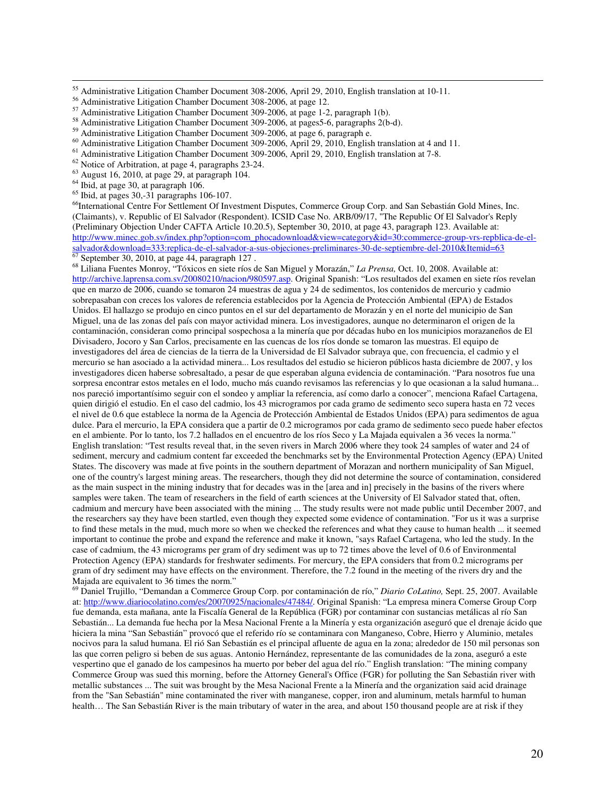Administrative Litigation Chamber Document 309-2006, at pages5-6, paragraphs 2(b-d).

 $\overline{a}$ 

<sup>66</sup>International Centre For Settlement Of Investment Disputes, Commerce Group Corp. and San Sebastián Gold Mines, Inc. (Claimants), v. Republic of El Salvador (Respondent). ICSID Case No. ARB/09/17, "The Republic Of El Salvador's Reply (Preliminary Objection Under CAFTA Article 10.20.5), September 30, 2010, at page 43, paragraph 123. Available at: http://www.minec.gob.sv/index.php?option=com\_phocadownload&view=category&id=30:commerce-group-vrs-repblica-de-elsalvador&download=333:replica-de-el-salvador-a-sus-objeciones-preliminares-30-de-septiembre-del-2010&Itemid=63  $67$  September 30, 2010, at page 44, paragraph 127.

<sup>68</sup> Liliana Fuentes Monroy, "Tóxicos en siete ríos de San Miguel y Morazán," *La Prensa,* Oct. 10, 2008. Available at: http://archive.laprensa.com.sv/20080210/nacion/980597.asp. Original Spanish: "Los resultados del examen en siete ríos revelan que en marzo de 2006, cuando se tomaron 24 muestras de agua y 24 de sedimentos, los contenidos de mercurio y cadmio sobrepasaban con creces los valores de referencia establecidos por la Agencia de Protección Ambiental (EPA) de Estados Unidos. El hallazgo se produjo en cinco puntos en el sur del departamento de Morazán y en el norte del municipio de San Miguel, una de las zonas del país con mayor actividad minera. Los investigadores, aunque no determinaron el origen de la contaminación, consideran como principal sospechosa a la minería que por décadas hubo en los municipios morazaneños de El Divisadero, Jocoro y San Carlos, precisamente en las cuencas de los ríos donde se tomaron las muestras. El equipo de investigadores del área de ciencias de la tierra de la Universidad de El Salvador subraya que, con frecuencia, el cadmio y el mercurio se han asociado a la actividad minera... Los resultados del estudio se hicieron públicos hasta diciembre de 2007, y los investigadores dicen haberse sobresaltado, a pesar de que esperaban alguna evidencia de contaminación. "Para nosotros fue una sorpresa encontrar estos metales en el lodo, mucho más cuando revisamos las referencias y lo que ocasionan a la salud humana... nos pareció importantísimo seguir con el sondeo y ampliar la referencia, así como darlo a conocer", menciona Rafael Cartagena, quien dirigió el estudio. En el caso del cadmio, los 43 microgramos por cada gramo de sedimento seco supera hasta en 72 veces el nivel de 0.6 que establece la norma de la Agencia de Protección Ambiental de Estados Unidos (EPA) para sedimentos de agua dulce. Para el mercurio, la EPA considera que a partir de 0.2 microgramos por cada gramo de sedimento seco puede haber efectos en el ambiente. Por lo tanto, los 7.2 hallados en el encuentro de los ríos Seco y La Majada equivalen a 36 veces la norma." English translation: "Test results reveal that, in the seven rivers in March 2006 where they took 24 samples of water and 24 of sediment, mercury and cadmium content far exceeded the benchmarks set by the Environmental Protection Agency (EPA) United States. The discovery was made at five points in the southern department of Morazan and northern municipality of San Miguel, one of the country's largest mining areas. The researchers, though they did not determine the source of contamination, considered as the main suspect in the mining industry that for decades was in the [area and in] precisely in the basins of the rivers where samples were taken. The team of researchers in the field of earth sciences at the University of El Salvador stated that, often, cadmium and mercury have been associated with the mining ... The study results were not made public until December 2007, and the researchers say they have been startled, even though they expected some evidence of contamination. "For us it was a surprise to find these metals in the mud, much more so when we checked the references and what they cause to human health ... it seemed important to continue the probe and expand the reference and make it known, "says Rafael Cartagena, who led the study. In the case of cadmium, the 43 micrograms per gram of dry sediment was up to 72 times above the level of 0.6 of Environmental Protection Agency (EPA) standards for freshwater sediments. For mercury, the EPA considers that from 0.2 micrograms per gram of dry sediment may have effects on the environment. Therefore, the 7.2 found in the meeting of the rivers dry and the Majada are equivalent to 36 times the norm."

<sup>69</sup> Daniel Trujillo, "Demandan a Commerce Group Corp. por contaminación de río," *Diario CoLatino,* Sept. 25, 2007. Available at: http://www.diariocolatino.com/es/20070925/nacionales/47484/. Original Spanish: "La empresa minera Comerse Group Corp fue demanda, esta mañana, ante la Fiscalía General de la República (FGR) por contaminar con sustancias metálicas al río San Sebastián... La demanda fue hecha por la Mesa Nacional Frente a la Minería y esta organización aseguró que el drenaje ácido que hiciera la mina "San Sebastián" provocó que el referido río se contaminara con Manganeso, Cobre, Hierro y Aluminio, metales nocivos para la salud humana. El rió San Sebastián es el principal afluente de agua en la zona; alrededor de 150 mil personas son las que corren peligro si beben de sus aguas. Antonio Hernández, representante de las comunidades de la zona, aseguró a este vespertino que el ganado de los campesinos ha muerto por beber del agua del río." English translation: "The mining company Commerce Group was sued this morning, before the Attorney General's Office (FGR) for polluting the San Sebastián river with metallic substances ... The suit was brought by the Mesa Nacional Frente a la Minería and the organization said acid drainage from the "San Sebastián" mine contaminated the river with manganese, copper, iron and aluminum, metals harmful to human health… The San Sebastián River is the main tributary of water in the area, and about 150 thousand people are at risk if they

<sup>&</sup>lt;sup>55</sup> Administrative Litigation Chamber Document 308-2006, April 29, 2010, English translation at 10-11.

<sup>56</sup> Administrative Litigation Chamber Document 308-2006, at page 12.

<sup>&</sup>lt;sup>57</sup> Administrative Litigation Chamber Document 309-2006, at page 1-2, paragraph 1(b).

<sup>59</sup> Administrative Litigation Chamber Document 309-2006, at page 6, paragraph e.

<sup>60</sup> Administrative Litigation Chamber Document 309-2006, April 29, 2010, English translation at 4 and 11.

<sup>61</sup> Administrative Litigation Chamber Document 309-2006, April 29, 2010, English translation at 7-8.

<sup>62</sup> Notice of Arbitration, at page 4, paragraphs 23-24.

<sup>63</sup> August 16, 2010, at page 29, at paragraph 104.

<sup>&</sup>lt;sup>64</sup> Ibid, at page 30, at paragraph 106.

 $65$  Ibid, at pages 30,-31 paragraphs 106-107.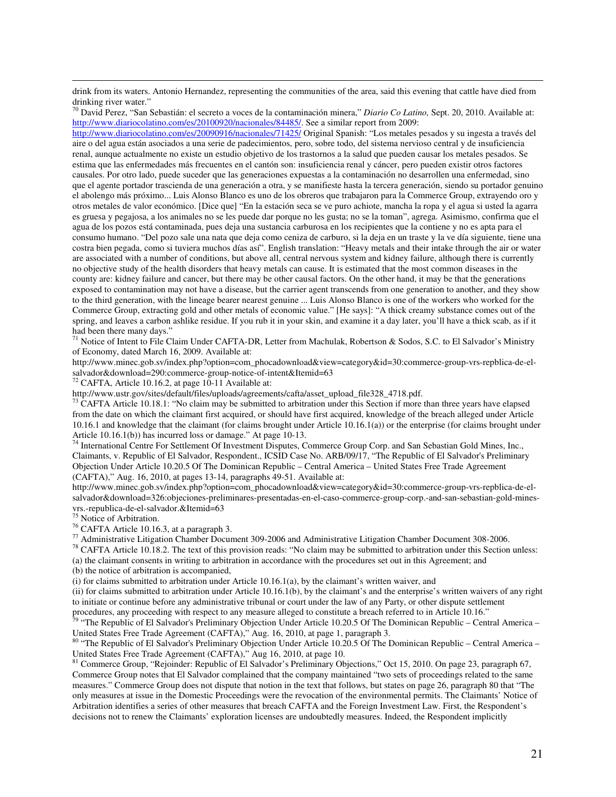drink from its waters. Antonio Hernandez, representing the communities of the area, said this evening that cattle have died from drinking river water."

<sup>70</sup> David Perez, "San Sebastián: el secreto a voces de la contaminación minera," *Diario Co Latino,* Sept. 20, 2010. Available at: http://www.diariocolatino.com/es/20100920/nacionales/84485/. See a similar report from 2009:

http://www.diariocolatino.com/es/20090916/nacionales/71425/ Original Spanish: "Los metales pesados y su ingesta a través del aire o del agua están asociados a una serie de padecimientos, pero, sobre todo, del sistema nervioso central y de insuficiencia renal, aunque actualmente no existe un estudio objetivo de los trastornos a la salud que pueden causar los metales pesados. Se estima que las enfermedades más frecuentes en el cantón son: insuficiencia renal y cáncer, pero pueden existir otros factores causales. Por otro lado, puede suceder que las generaciones expuestas a la contaminación no desarrollen una enfermedad, sino que el agente portador trascienda de una generación a otra, y se manifieste hasta la tercera generación, siendo su portador genuino el abolengo más próximo... Luis Alonso Blanco es uno de los obreros que trabajaron para la Commerce Group, extrayendo oro y otros metales de valor económico. [Dice que] "En la estación seca se ve puro achiote, mancha la ropa y el agua si usted la agarra es gruesa y pegajosa, a los animales no se les puede dar porque no les gusta; no se la toman", agrega. Asimismo, confirma que el agua de los pozos está contaminada, pues deja una sustancia carburosa en los recipientes que la contiene y no es apta para el consumo humano. "Del pozo sale una nata que deja como ceniza de carburo, si la deja en un traste y la ve día siguiente, tiene una costra bien pegada, como si tuviera muchos días así". English translation: "Heavy metals and their intake through the air or water are associated with a number of conditions, but above all, central nervous system and kidney failure, although there is currently no objective study of the health disorders that heavy metals can cause. It is estimated that the most common diseases in the county are: kidney failure and cancer, but there may be other causal factors. On the other hand, it may be that the generations exposed to contamination may not have a disease, but the carrier agent transcends from one generation to another, and they show to the third generation, with the lineage bearer nearest genuine ... Luis Alonso Blanco is one of the workers who worked for the Commerce Group, extracting gold and other metals of economic value." [He says]: "A thick creamy substance comes out of the spring, and leaves a carbon ashlike residue. If you rub it in your skin, and examine it a day later, you'll have a thick scab, as if it had been there many days."

 $71$  Notice of Intent to File Claim Under CAFTA-DR, Letter from Machulak, Robertson & Sodos, S.C. to El Salvador's Ministry of Economy, dated March 16, 2009. Available at:

http://www.minec.gob.sv/index.php?option=com\_phocadownload&view=category&id=30:commerce-group-vrs-repblica-de-elsalvador&download=290:commerce-group-notice-of-intent&Itemid=63

 $72$  CAFTA, Article 10.16.2, at page 10-11 Available at:

http://www.ustr.gov/sites/default/files/uploads/agreements/cafta/asset\_upload\_file328\_4718.pdf.

 $73$  CAFTA Article 10.18.1: "No claim may be submitted to arbitration under this Section if more than three years have elapsed from the date on which the claimant first acquired, or should have first acquired, knowledge of the breach alleged under Article 10.16.1 and knowledge that the claimant (for claims brought under Article 10.16.1(a)) or the enterprise (for claims brought under Article 10.16.1(b)) has incurred loss or damage." At page 10-13.

<sup>74</sup> International Centre For Settlement Of Investment Disputes, Commerce Group Corp. and San Sebastian Gold Mines, Inc., Claimants, v. Republic of El Salvador, Respondent., ICSID Case No. ARB/09/17, "The Republic of El Salvador's Preliminary Objection Under Article 10.20.5 Of The Dominican Republic – Central America – United States Free Trade Agreement (CAFTA)," Aug. 16, 2010, at pages 13-14, paragraphs 49-51. Available at:

http://www.minec.gob.sv/index.php?option=com\_phocadownload&view=category&id=30:commerce-group-vrs-repblica-de-elsalvador&download=326:objeciones-preliminares-presentadas-en-el-caso-commerce-group-corp.-and-san-sebastian-gold-minesvrs.-republica-de-el-salvador.&Itemid=63

<sup>75</sup> Notice of Arbitration.

 $\overline{a}$ 

<sup>76</sup> CAFTA Article 10.16.3, at a paragraph 3.

<sup>77</sup> Administrative Litigation Chamber Document 309-2006 and Administrative Litigation Chamber Document 308-2006.

<sup>78</sup> CAFTA Article 10.18.2. The text of this provision reads: "No claim may be submitted to arbitration under this Section unless: (a) the claimant consents in writing to arbitration in accordance with the procedures set out in this Agreement; and

(b) the notice of arbitration is accompanied,

(i) for claims submitted to arbitration under Article 10.16.1(a), by the claimant's written waiver, and

(ii) for claims submitted to arbitration under Article 10.16.1(b), by the claimant's and the enterprise's written waivers of any right to initiate or continue before any administrative tribunal or court under the law of any Party, or other dispute settlement procedures, any proceeding with respect to any measure alleged to constitute a breach referred to in Article 10.16."

<sup>79</sup> "The Republic of El Salvador's Preliminary Objection Under Article 10.20.5 Of The Dominican Republic – Central America – United States Free Trade Agreement (CAFTA)," Aug. 16, 2010, at page 1, paragraph 3.

<sup>80</sup> "The Republic of El Salvador's Preliminary Objection Under Article 10.20.5 Of The Dominican Republic – Central America – United States Free Trade Agreement (CAFTA)," Aug 16, 2010, at page 10.

<sup>81</sup> Commerce Group, "Rejoinder: Republic of El Salvador's Preliminary Objections," Oct 15, 2010. On page 23, paragraph 67, Commerce Group notes that El Salvador complained that the company maintained "two sets of proceedings related to the same measures." Commerce Group does not dispute that notion in the text that follows, but states on page 26, paragraph 80 that "The only measures at issue in the Domestic Proceedings were the revocation of the environmental permits. The Claimants' Notice of Arbitration identifies a series of other measures that breach CAFTA and the Foreign Investment Law. First, the Respondent's decisions not to renew the Claimants' exploration licenses are undoubtedly measures. Indeed, the Respondent implicitly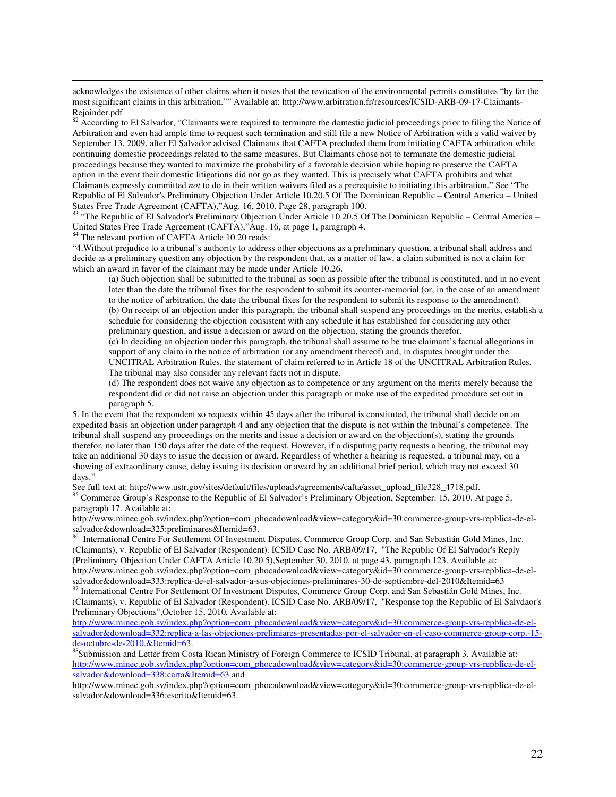acknowledges the existence of other claims when it notes that the revocation of the environmental permits constitutes "by far the most significant claims in this arbitration."" Available at: http://www.arbitration.fr/resources/ICSID-ARB-09-17-Claimants-Rejoinder.pdf<br> $82$  A<sub>55</sub>  $\ldots$ 

<sup>82</sup> According to El Salvador, "Claimants were required to terminate the domestic judicial proceedings prior to filing the Notice of Arbitration and even had ample time to request such termination and still file a new Notice of Arbitration with a valid waiver by September 13, 2009, after El Salvador advised Claimants that CAFTA precluded them from initiating CAFTA arbitration while continuing domestic proceedings related to the same measures. But Claimants chose not to terminate the domestic judicial proceedings because they wanted to maximize the probability of a favorable decision while hoping to preserve the CAFTA option in the event their domestic litigations did not go as they wanted. This is precisely what CAFTA prohibits and what Claimants expressly committed *not* to do in their written waivers filed as a prerequisite to initiating this arbitration." See "The Republic of El Salvador's Preliminary Objection Under Article 10.20.5 Of The Dominican Republic – Central America – United States Free Trade Agreement (CAFTA),"Aug. 16, 2010. Page 28, paragraph 100.

83 "The Republic of El Salvador's Preliminary Objection Under Article 10.20.5 Of The Dominican Republic – Central America – United States Free Trade Agreement (CAFTA),"Aug. 16, at page 1, paragraph 4.

<sup>84</sup> The relevant portion of CAFTA Article 10.20 reads:

 $\overline{a}$ 

"4.Without prejudice to a tribunal's authority to address other objections as a preliminary question, a tribunal shall address and decide as a preliminary question any objection by the respondent that, as a matter of law, a claim submitted is not a claim for which an award in favor of the claimant may be made under Article 10.26.

(a) Such objection shall be submitted to the tribunal as soon as possible after the tribunal is constituted, and in no event later than the date the tribunal fixes for the respondent to submit its counter-memorial (or, in the case of an amendment to the notice of arbitration, the date the tribunal fixes for the respondent to submit its response to the amendment). (b) On receipt of an objection under this paragraph, the tribunal shall suspend any proceedings on the merits, establish a schedule for considering the objection consistent with any schedule it has established for considering any other preliminary question, and issue a decision or award on the objection, stating the grounds therefor.

(c) In deciding an objection under this paragraph, the tribunal shall assume to be true claimant's factual allegations in support of any claim in the notice of arbitration (or any amendment thereof) and, in disputes brought under the UNCITRAL Arbitration Rules, the statement of claim referred to in Article 18 of the UNCITRAL Arbitration Rules. The tribunal may also consider any relevant facts not in dispute.

(d) The respondent does not waive any objection as to competence or any argument on the merits merely because the respondent did or did not raise an objection under this paragraph or make use of the expedited procedure set out in paragraph 5.

5. In the event that the respondent so requests within 45 days after the tribunal is constituted, the tribunal shall decide on an expedited basis an objection under paragraph 4 and any objection that the dispute is not within the tribunal's competence. The tribunal shall suspend any proceedings on the merits and issue a decision or award on the objection(s), stating the grounds therefor, no later than 150 days after the date of the request. However, if a disputing party requests a hearing, the tribunal may take an additional 30 days to issue the decision or award. Regardless of whether a hearing is requested, a tribunal may, on a showing of extraordinary cause, delay issuing its decision or award by an additional brief period, which may not exceed 30 days."

See full text at: http://www.ustr.gov/sites/default/files/uploads/agreements/cafta/asset\_upload\_file328\_4718.pdf. <sup>85</sup> Commerce Group's Response to the Republic of El Salvador's Preliminary Objection, September. 15, 2010. At page 5, paragraph 17. Available at:

http://www.minec.gob.sv/index.php?option=com\_phocadownload&view=category&id=30:commerce-group-vrs-repblica-de-elsalvador&download=325:preliminares&Itemid=63.

<sup>86</sup> International Centre For Settlement Of Investment Disputes, Commerce Group Corp. and San Sebastián Gold Mines, Inc. (Claimants), v. Republic of El Salvador (Respondent). ICSID Case No. ARB/09/17, "The Republic Of El Salvador's Reply (Preliminary Objection Under CAFTA Article 10.20.5),September 30, 2010, at page 43, paragraph 123. Available at: http://www.minec.gob.sv/index.php?option=com\_phocadownload&view=category&id=30:commerce-group-vrs-repblica-de-elsalvador&download=333:replica-de-el-salvador-a-sus-objeciones-preliminares-30-de-septiembre-del-2010&Itemid=63<br>87 International Centre Ecc Settlement Of Inc.

<sup>87</sup> International Centre For Settlement Of Investment Disputes, Commerce Group Corp. and San Sebastián Gold Mines, Inc. (Claimants), v. Republic of El Salvador (Respondent). ICSID Case No. ARB/09/17, "Response top the Republic of El Salvdaor's Preliminary Objections",October 15, 2010, Available at:

http://www.minec.gob.sv/index.php?option=com\_phocadownload&view=category&id=30:commerce-group-vrs-repblica-de-elsalvador&download=332:replica-a-las-objeciones-prelimiares-presentadas-por-el-salvador-en-el-caso-commerce-group-corp.-15 de-octubre-de-2010.&Itemid=63.

88Submission and Letter from Costa Rican Ministry of Foreign Commerce to ICSID Tribunal, at paragraph 3. Available at: http://www.minec.gob.sv/index.php?option=com\_phocadownload&view=category&id=30:commerce-group-vrs-repblica-de-elsalvador&download=338:carta&Itemid=63 and

http://www.minec.gob.sv/index.php?option=com\_phocadownload&view=category&id=30:commerce-group-vrs-repblica-de-elsalvador&download=336:escrito&Itemid=63.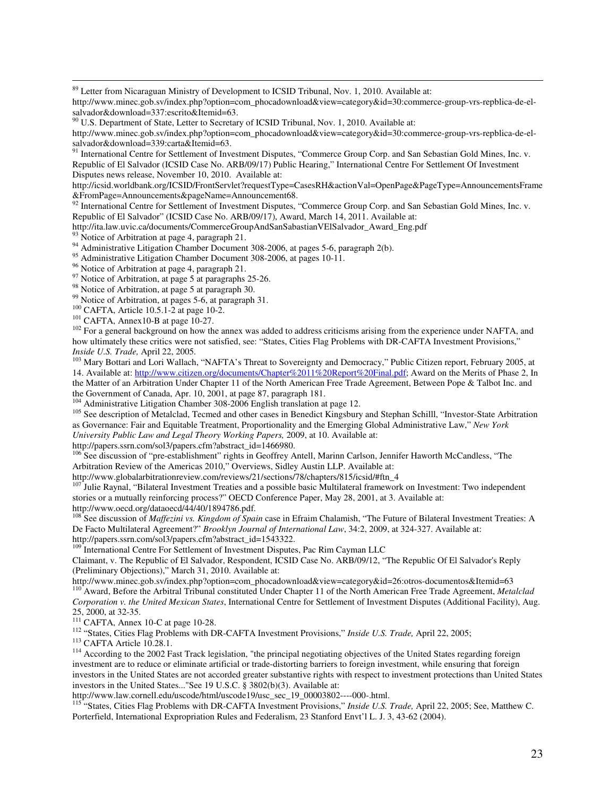<sup>89</sup> Letter from Nicaraguan Ministry of Development to ICSID Tribunal, Nov. 1, 2010. Available at:

http://www.minec.gob.sv/index.php?option=com\_phocadownload&view=category&id=30:commerce-group-vrs-repblica-de-elsalvador&download=337:escrito&Itemid=63.

<sup>90</sup> U.S. Department of State, Letter to Secretary of ICSID Tribunal, Nov. 1, 2010. Available at:

http://www.minec.gob.sv/index.php?option=com\_phocadownload&view=category&id=30:commerce-group-vrs-repblica-de-elsalvador&download=339:carta&Itemid=63.

91 International Centre for Settlement of Investment Disputes, "Commerce Group Corp. and San Sebastian Gold Mines, Inc. v. Republic of El Salvador (ICSID Case No. ARB/09/17) Public Hearing," International Centre For Settlement Of Investment Disputes news release, November 10, 2010. Available at:

http://icsid.worldbank.org/ICSID/FrontServlet?requestType=CasesRH&actionVal=OpenPage&PageType=AnnouncementsFrame &FromPage=Announcements&pageName=Announcement68.

92 International Centre for Settlement of Investment Disputes, "Commerce Group Corp. and San Sebastian Gold Mines, Inc. v. Republic of El Salvador" (ICSID Case No. ARB/09/17), Award, March 14, 2011. Available at:

http://ita.law.uvic.ca/documents/CommerceGroupAndSanSabastianVElSalvador\_Award\_Eng.pdf

<sup>93</sup> Notice of Arbitration at page 4, paragraph 21.

 $\overline{a}$ 

<sup>94</sup> Administrative Litigation Chamber Document 308-2006, at pages 5-6, paragraph 2(b).

<sup>95</sup> Administrative Litigation Chamber Document 308-2006, at pages 10-11.

<sup>96</sup> Notice of Arbitration at page 4, paragraph 21.<br><sup>97</sup> Notice of Arbitration at page 5 at paragraphs <sup>27</sup>

Notice of Arbitration, at page 5 at paragraphs 25-26.

<sup>98</sup> Notice of Arbitration, at page 5 at paragraph 30.

<sup>99</sup> Notice of Arbitration, at pages 5-6, at paragraph 31.

<sup>100</sup> CAFTA, Article 10.5.1-2 at page 10-2.

<sup>101</sup> CAFTA, Annex10-B at page 10-27.

<sup>102</sup> For a general background on how the annex was added to address criticisms arising from the experience under NAFTA, and how ultimately these critics were not satisfied, see: "States, Cities Flag Problems with DR-CAFTA Investment Provisions," *Inside U.S. Trade,* April 22, 2005.

<sup>103</sup> Mary Bottari and Lori Wallach, "NAFTA's Threat to Sovereignty and Democracy," Public Citizen report, February 2005, at 14. Available at: http://www.citizen.org/documents/Chapter%2011%20Report%20Final.pdf; Award on the Merits of Phase 2, In the Matter of an Arbitration Under Chapter 11 of the North American Free Trade Agreement, Between Pope & Talbot Inc. and the Government of Canada, Apr. 10, 2001, at page 87, paragraph 181.

<sup>104</sup> Administrative Litigation Chamber 308-2006 English translation at page 12.

<sup>105</sup> See description of Metalclad, Tecmed and other cases in Benedict Kingsbury and Stephan Schilll, "Investor-State Arbitration as Governance: Fair and Equitable Treatment, Proportionality and the Emerging Global Administrative Law," *New York University Public Law and Legal Theory Working Papers,* 2009, at 10. Available at:

http://papers.ssrn.com/sol3/papers.cfm?abstract\_id=1466980.

<sup>106</sup> See discussion of "pre-establishment" rights in Geoffrey Antell, Marinn Carlson, Jennifer Haworth McCandless, "The Arbitration Review of the Americas 2010," Overviews, Sidley Austin LLP. Available at:

http://www.globalarbitrationreview.com/reviews/21/sections/78/chapters/815/icsid/#ftn\_4

<sup>107</sup> Julie Raynal, "Bilateral Investment Treaties and a possible basic Multilateral framework on Investment: Two independent stories or a mutually reinforcing process?" OECD Conference Paper, May 28, 2001, at 3. Available at: http://www.oecd.org/dataoecd/44/40/1894786.pdf.

<sup>108</sup> See discussion of *Maffezini vs. Kingdom of Spain* case in Efraim Chalamish, "The Future of Bilateral Investment Treaties: A De Facto Multilateral Agreement?" *Brooklyn Journal of International Law*, 34:2, 2009, at 324-327. Available at: http://papers.ssrn.com/sol3/papers.cfm?abstract\_id=1543322.

<sup>109</sup> International Centre For Settlement of Investment Disputes, Pac Rim Cayman LLC

Claimant, v. The Republic of El Salvador, Respondent, ICSID Case No. ARB/09/12, "The Republic Of El Salvador's Reply (Preliminary Objections)," March 31, 2010. Available at:

http://www.minec.gob.sv/index.php?option=com\_phocadownload&view=category&id=26:otros-documentos&Itemid=63 <sup>110</sup> Award, Before the Arbitral Tribunal constituted Under Chapter 11 of the North American Free Trade Agreement, *Metalclad Corporation v. the United Mexican States*, International Centre for Settlement of Investment Disputes (Additional Facility), Aug.

25, 2000, at 32-35.  $111$  CAFTA, Annex 10-C at page 10-28.

<sup>112</sup> "States, Cities Flag Problems with DR-CAFTA Investment Provisions," *Inside U.S. Trade,* April 22, 2005;

<sup>113</sup> CAFTA Article 10.28.1.

<sup>114</sup> According to the 2002 Fast Track legislation, "the principal negotiating objectives of the United States regarding foreign investment are to reduce or eliminate artificial or trade-distorting barriers to foreign investment, while ensuring that foreign investors in the United States are not accorded greater substantive rights with respect to investment protections than United States investors in the United States..."See 19 U.S.C. § 3802(b)(3). Available at:

http://www.law.cornell.edu/uscode/html/uscode19/usc\_sec\_19\_00003802----000-.html.

<sup>115</sup> "States, Cities Flag Problems with DR-CAFTA Investment Provisions," *Inside U.S. Trade,* April 22, 2005; See, Matthew C. Porterfield, International Expropriation Rules and Federalism, 23 Stanford Envt'l L. J. 3, 43-62 (2004).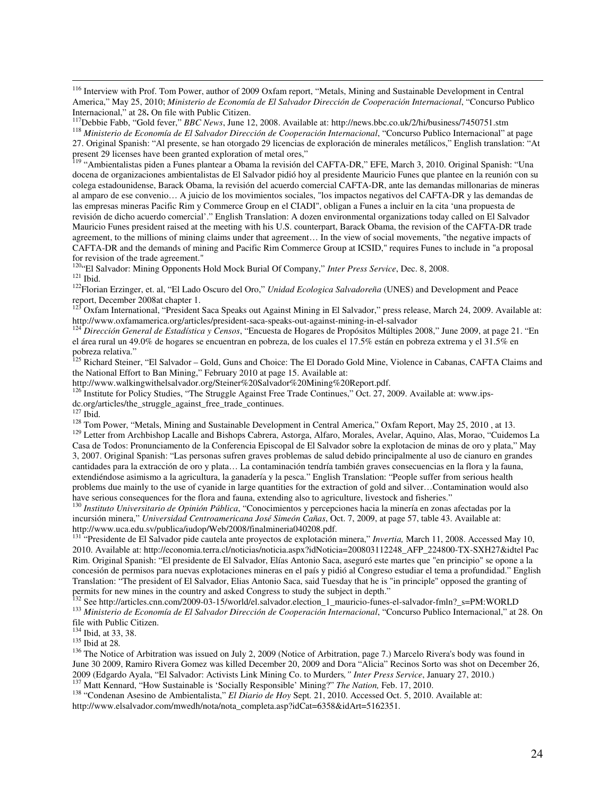<sup>116</sup> Interview with Prof. Tom Power, author of 2009 Oxfam report, "Metals, Mining and Sustainable Development in Central America," May 25, 2010; *Ministerio de Economía de El Salvador Dirección de Cooperación Internacional*, "Concurso Publico Internacional," at 28**.** On file with Public Citizen.

<sup>117</sup>Debbie Fabb, "Gold fever," *BBC News*, June 12, 2008. Available at: http://news.bbc.co.uk/2/hi/business/7450751.stm

<sup>118</sup> *Ministerio de Economía de El Salvador Dirección de Cooperación Internacional*, "Concurso Publico Internacional" at page 27. Original Spanish: "Al presente, se han otorgado 29 licencias de exploración de minerales metálicos," English translation: "At present 29 licenses have been granted exploration of metal ores,"

<sup>119</sup> "Ambientalistas piden a Funes plantear a Obama la revisión del CAFTA-DR," EFE, March 3, 2010. Original Spanish: "Una docena de organizaciones ambientalistas de El Salvador pidió hoy al presidente Mauricio Funes que plantee en la reunión con su colega estadounidense, Barack Obama, la revisión del acuerdo comercial CAFTA-DR, ante las demandas millonarias de mineras al amparo de ese convenio… A juicio de los movimientos sociales, "los impactos negativos del CAFTA-DR y las demandas de las empresas mineras Pacific Rim y Commerce Group en el CIADI", obligan a Funes a incluir en la cita 'una propuesta de revisión de dicho acuerdo comercial'." English Translation: A dozen environmental organizations today called on El Salvador Mauricio Funes president raised at the meeting with his U.S. counterpart, Barack Obama, the revision of the CAFTA-DR trade agreement, to the millions of mining claims under that agreement… In the view of social movements, "the negative impacts of CAFTA-DR and the demands of mining and Pacific Rim Commerce Group at ICSID," requires Funes to include in "a proposal for revision of the trade agreement."

<sup>120</sup>"El Salvador: Mining Opponents Hold Mock Burial Of Company," *Inter Press Service*, Dec. 8, 2008.  $121$  Ibid.

<sup>122</sup>Florian Erzinger, et. al, "El Lado Oscuro del Oro," *Unidad Ecologica Salvadoreña* (UNES) and Development and Peace report, December 2008at chapter 1.

<sup>123</sup> Oxfam International, "President Saca Speaks out Against Mining in El Salvador," press release, March 24, 2009. Available at: http://www.oxfamamerica.org/articles/president-saca-speaks-out-against-mining-in-el-salvador

<sup>124</sup> *Dirección General de Estadística y Censos*, "Encuesta de Hogares de Propósitos Múltiples 2008," June 2009, at page 21. "En el área rural un 49.0% de hogares se encuentran en pobreza, de los cuales el 17.5% están en pobreza extrema y el 31.5% en pobreza relativa."

<sup>125</sup> Richard Steiner, "El Salvador – Gold, Guns and Choice: The El Dorado Gold Mine, Violence in Cabanas, CAFTA Claims and the National Effort to Ban Mining," February 2010 at page 15. Available at:

http://www.walkingwithelsalvador.org/Steiner%20Salvador%20Mining%20Report.pdf.

 $126$ <sup>126</sup> Institute for Policy Studies, "The Struggle Against Free Trade Continues," Oct. 27, 2009. Available at: www.ips-

dc.org/articles/the\_struggle\_against\_free\_trade\_continues.

 $^{127}$  Ibid.

 $\overline{a}$ 

<sup>128</sup> Tom Power, "Metals, Mining and Sustainable Development in Central America," Oxfam Report, May 25, 2010, at 13.

<sup>129</sup> Letter from Archbishop Lacalle and Bishops Cabrera, Astorga, Alfaro, Morales, Avelar, Aquino, Alas, Morao, "Cuidemos La Casa de Todos: Pronunciamento de la Conferencia Episcopal de El Salvador sobre la explotacion de minas de oro y plata," May 3, 2007. Original Spanish: "Las personas sufren graves problemas de salud debido principalmente al uso de cianuro en grandes cantidades para la extracción de oro y plata… La contaminación tendría también graves consecuencias en la flora y la fauna, extendiéndose asimismo a la agricultura, la ganadería y la pesca." English Translation: "People suffer from serious health problems due mainly to the use of cyanide in large quantities for the extraction of gold and silver…Contamination would also have serious consequences for the flora and fauna, extending also to agriculture, livestock and fisheries."

<sup>130</sup> *Instituto Universitario de Opinión Pública*, "Conocimientos y percepciones hacia la minería en zonas afectadas por la incursión minera," *Universidad Centroamericana José Simeón Cañas*, Oct. 7, 2009, at page 57, table 43. Available at: http://www.uca.edu.sv/publica/iudop/Web/2008/finalmineria040208.pdf.

<sup>131</sup> "Presidente de El Salvador pide cautela ante proyectos de explotación minera," *Invertia,* March 11, 2008. Accessed May 10, 2010. Available at: http://economia.terra.cl/noticias/noticia.aspx?idNoticia=200803112248\_AFP\_224800-TX-SXH27&idtel Pac Rim. Original Spanish: "El presidente de El Salvador, Elías Antonio Saca, aseguró este martes que "en principio" se opone a la concesión de permisos para nuevas explotaciones mineras en el país y pidió al Congreso estudiar el tema a profundidad." English Translation: "The president of El Salvador, Elias Antonio Saca, said Tuesday that he is "in principle" opposed the granting of permits for new mines in the country and asked Congress to study the subject in depth."

<sup>132</sup> See http://articles.cnn.com/2009-03-15/world/el.salvador.election\_1\_mauricio-funes-el-salvador-fmln?\_s=PM:WORLD <sup>133</sup> *Ministerio de Economía de El Salvador Dirección de Cooperación Internacional*, "Concurso Publico Internacional," at 28. On

file with Public Citizen.

<sup>134</sup> Ibid, at 33, 38.

<sup>135</sup> Ibid at 28*.*

<sup>136</sup> The Notice of Arbitration was issued on July 2, 2009 (Notice of Arbitration, page 7.) Marcelo Rivera's body was found in June 30 2009, Ramiro Rivera Gomez was killed December 20, 2009 and Dora "Alicia" Recinos Sorto was shot on December 26, 2009 (Edgardo Ayala, "El Salvador: Activists Link Mining Co. to Murders*," Inter Press Service*, January 27, 2010.) <sup>137</sup> Matt Kennard, "How Sustainable is 'Socially Responsible' Mining?" *The Nation*, Feb. 17, 2010.

<sup>138</sup> "Condenan Asesino de Ambientalista," *El Diario de Hoy* Sept. 21, 2010. Accessed Oct. 5, 2010. Available at: http://www.elsalvador.com/mwedh/nota/nota\_completa.asp?idCat=6358&idArt=5162351.